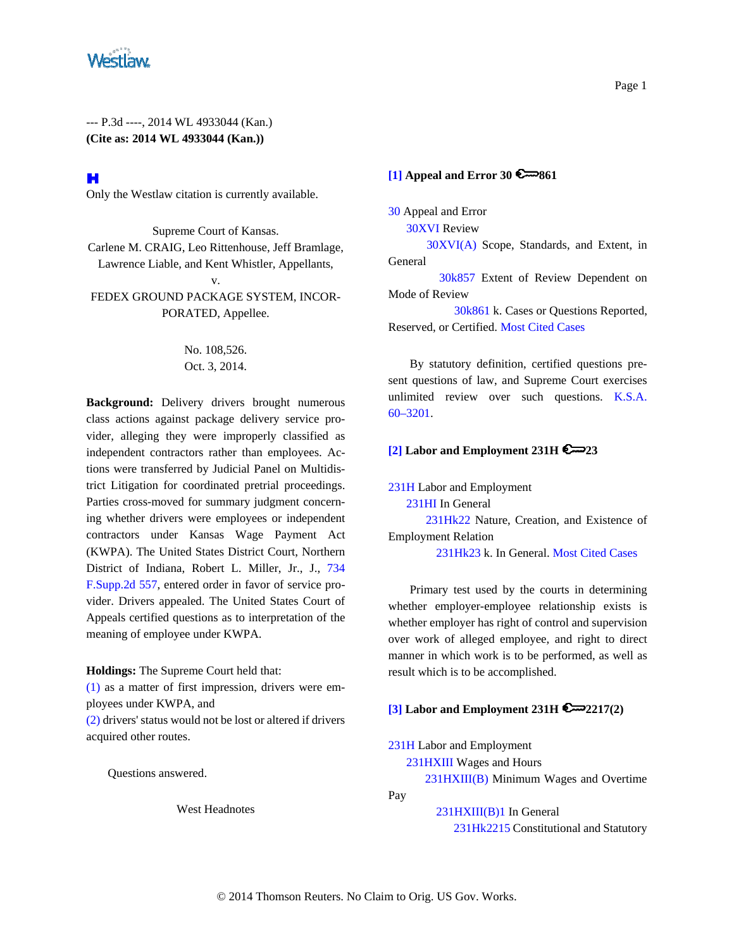

## H

Only the Westlaw citation is currently available.

Supreme Court of Kansas. Carlene M. CRAIG, Leo Rittenhouse, Jeff Bramlage, Lawrence Liable, and Kent Whistler, Appellants, v. FEDEX GROUND PACKAGE SYSTEM, INCOR-PORATED, Appellee.

> No. 108,526. Oct. 3, 2014.

**Background:** Delivery drivers brought numerous class actions against package delivery service provider, alleging they were improperly classified as independent contractors rather than employees. Actions were transferred by Judicial Panel on Multidistrict Litigation for coordinated pretrial proceedings. Parties cross-moved for summary judgment concerning whether drivers were employees or independent contractors under Kansas Wage Payment Act (KWPA). The United States District Court, Northern District of Indiana, Robert L. Miller, Jr., J., 734 F.Supp.2d 557, entered order in favor of service provider. Drivers appealed. The United States Court of Appeals certified questions as to interpretation of the meaning of employee under KWPA.

**Holdings:** The Supreme Court held that:

(1) as a matter of first impression, drivers were employees under KWPA, and

(2) drivers' status would not be lost or altered if drivers acquired other routes.

Questions answered.

West Headnotes

# **[1] Appeal and Error 30 6 861**

30 Appeal and Error

30XVI Review

 30XVI(A) Scope, Standards, and Extent, in General

 30k857 Extent of Review Dependent on Mode of Review

 30k861 k. Cases or Questions Reported, Reserved, or Certified. Most Cited Cases

By statutory definition, certified questions present questions of law, and Supreme Court exercises unlimited review over such questions. K.S.A. 60–3201.

#### **[2] Labor and Employment 231H 23**

231H Labor and Employment 231HI In General 231Hk22 Nature, Creation, and Existence of Employment Relation 231Hk23 k. In General. Most Cited Cases

Primary test used by the courts in determining whether employer-employee relationship exists is whether employer has right of control and supervision over work of alleged employee, and right to direct manner in which work is to be performed, as well as result which is to be accomplished.

#### **[3] Labor and Employment 231H 2217(2)**

231H Labor and Employment

231HXIII Wages and Hours

231HXIII(B) Minimum Wages and Overtime

Pay

 231HXIII(B)1 In General 231Hk2215 Constitutional and Statutory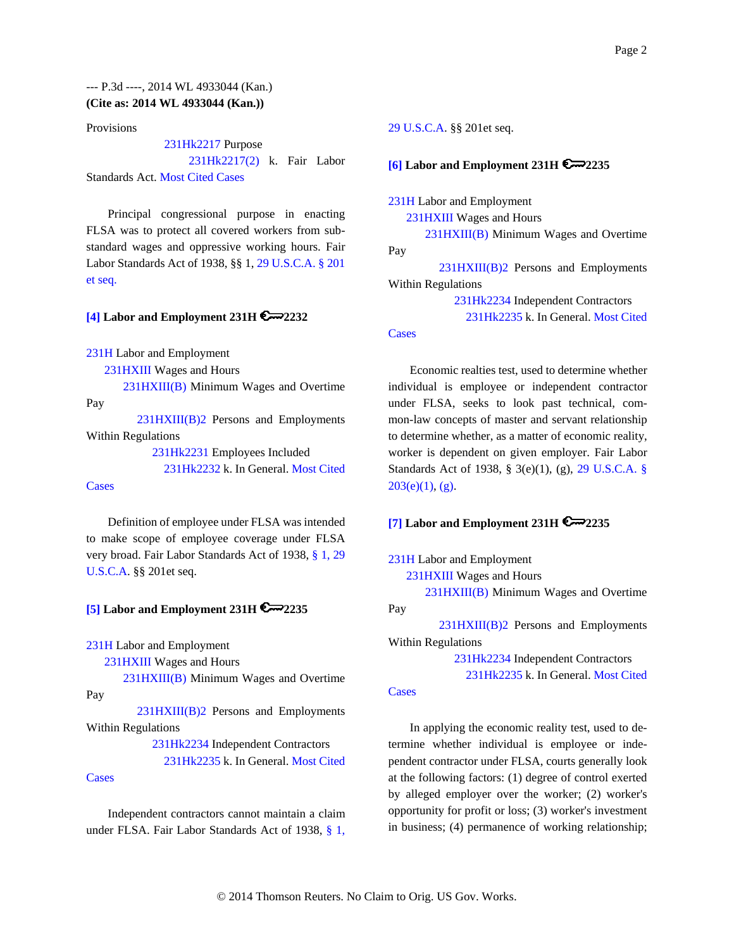Provisions

231Hk2217 Purpose

 231Hk2217(2) k. Fair Labor Standards Act. Most Cited Cases

Principal congressional purpose in enacting FLSA was to protect all covered workers from substandard wages and oppressive working hours. Fair Labor Standards Act of 1938, §§ 1, 29 U.S.C.A. § 201 et seq.

### **[4] Labor and Employment 231H 2232**

231H Labor and Employment

231HXIII Wages and Hours

 231HXIII(B) Minimum Wages and Overtime Pay

 231HXIII(B)2 Persons and Employments Within Regulations

231Hk2231 Employees Included

231Hk2232 k. In General. Most Cited

### **Cases**

Definition of employee under FLSA was intended to make scope of employee coverage under FLSA very broad. Fair Labor Standards Act of 1938, § 1, 29 U.S.C.A. §§ 201et seq.

#### **[5] Labor and Employment 231H 2235**

231H Labor and Employment

231HXIII Wages and Hours

231HXIII(B) Minimum Wages and Overtime

Pay

 231HXIII(B)2 Persons and Employments Within Regulations

> 231Hk2234 Independent Contractors 231Hk2235 k. In General. Most Cited

### Cases

Independent contractors cannot maintain a claim under FLSA. Fair Labor Standards Act of 1938, § 1,

#### 29 U.S.C.A. §§ 201et seq.

### **[6] Labor and Employment 231H 2235**

231H Labor and Employment

231HXIII Wages and Hours

 231HXIII(B) Minimum Wages and Overtime Pay

 231HXIII(B)2 Persons and Employments Within Regulations

> 231Hk2234 Independent Contractors 231Hk2235 k. In General. Most Cited

#### **Cases**

Economic realties test, used to determine whether individual is employee or independent contractor under FLSA, seeks to look past technical, common-law concepts of master and servant relationship to determine whether, as a matter of economic reality, worker is dependent on given employer. Fair Labor Standards Act of 1938, § 3(e)(1), (g), 29 U.S.C.A. §  $203(e)(1)$ , (g).

# **[7] Labor and Employment 231H 2235**

231H Labor and Employment

231HXIII Wages and Hours

 231HXIII(B) Minimum Wages and Overtime Pay

 231HXIII(B)2 Persons and Employments Within Regulations

231Hk2234 Independent Contractors

231Hk2235 k. In General. Most Cited

#### **Cases**

In applying the economic reality test, used to determine whether individual is employee or independent contractor under FLSA, courts generally look at the following factors: (1) degree of control exerted by alleged employer over the worker; (2) worker's opportunity for profit or loss; (3) worker's investment in business; (4) permanence of working relationship;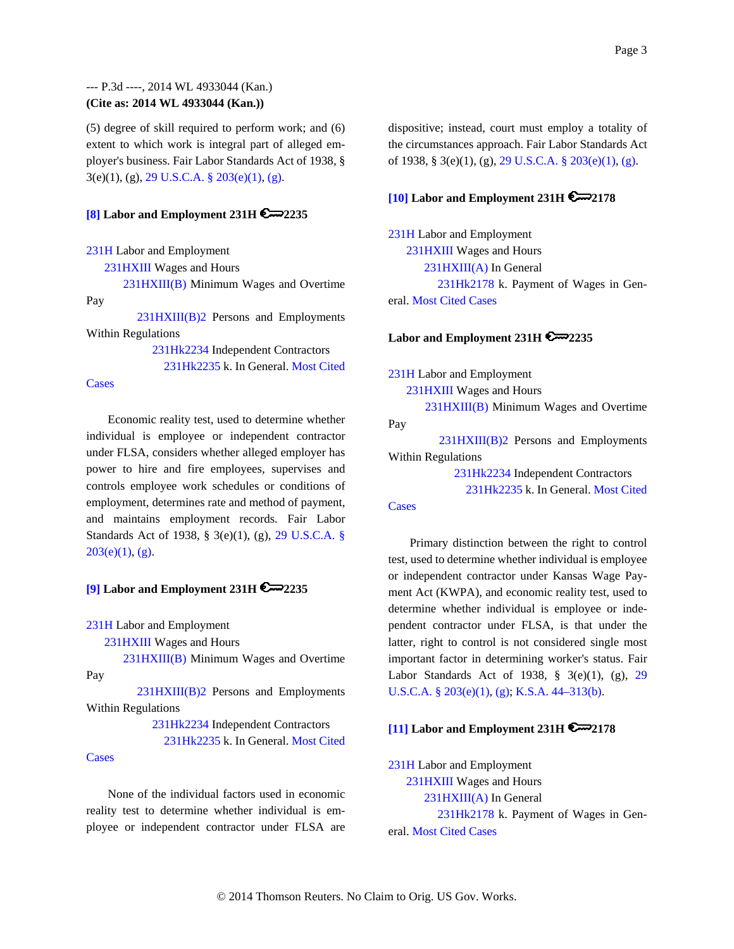(5) degree of skill required to perform work; and (6) extent to which work is integral part of alleged employer's business. Fair Labor Standards Act of 1938, § 3(e)(1), (g), 29 U.S.C.A. § 203(e)(1), (g).

#### **[8] Labor and Employment 231H 2235**

231H Labor and Employment

231HXIII Wages and Hours

 231HXIII(B) Minimum Wages and Overtime Pay

 231HXIII(B)2 Persons and Employments Within Regulations

> 231Hk2234 Independent Contractors 231Hk2235 k. In General. Most Cited

#### **Cases**

Economic reality test, used to determine whether individual is employee or independent contractor under FLSA, considers whether alleged employer has power to hire and fire employees, supervises and controls employee work schedules or conditions of employment, determines rate and method of payment, and maintains employment records. Fair Labor Standards Act of 1938, § 3(e)(1), (g), 29 U.S.C.A. §  $203(e)(1)$ , (g).

#### **[9] Labor and Employment 231H 2235**

231H Labor and Employment

231HXIII Wages and Hours

231HXIII(B) Minimum Wages and Overtime

Pay

 231HXIII(B)2 Persons and Employments Within Regulations

> 231Hk2234 Independent Contractors 231Hk2235 k. In General. Most Cited

#### Cases

None of the individual factors used in economic reality test to determine whether individual is employee or independent contractor under FLSA are dispositive; instead, court must employ a totality of the circumstances approach. Fair Labor Standards Act of 1938, § 3(e)(1), (g), 29 U.S.C.A. § 203(e)(1), (g).

## **[10] Labor and Employment 231H 2178**

231H Labor and Employment 231HXIII Wages and Hours 231HXIII(A) In General 231Hk2178 k. Payment of Wages in General. Most Cited Cases

#### **Labor and Employment 231H 2235**

231H Labor and Employment 231HXIII Wages and Hours 231HXIII(B) Minimum Wages and Overtime Pay 231HXIII(B)2 Persons and Employments Within Regulations 231Hk2234 Independent Contractors 231Hk2235 k. In General. Most Cited

#### **Cases**

Primary distinction between the right to control test, used to determine whether individual is employee or independent contractor under Kansas Wage Payment Act (KWPA), and economic reality test, used to determine whether individual is employee or independent contractor under FLSA, is that under the latter, right to control is not considered single most important factor in determining worker's status. Fair Labor Standards Act of 1938, § 3(e)(1), (g), 29 U.S.C.A. § 203(e)(1), (g); K.S.A. 44–313(b).

#### **[11] Labor and Employment 231H 2178**

231H Labor and Employment 231HXIII Wages and Hours 231HXIII(A) In General 231Hk2178 k. Payment of Wages in General. Most Cited Cases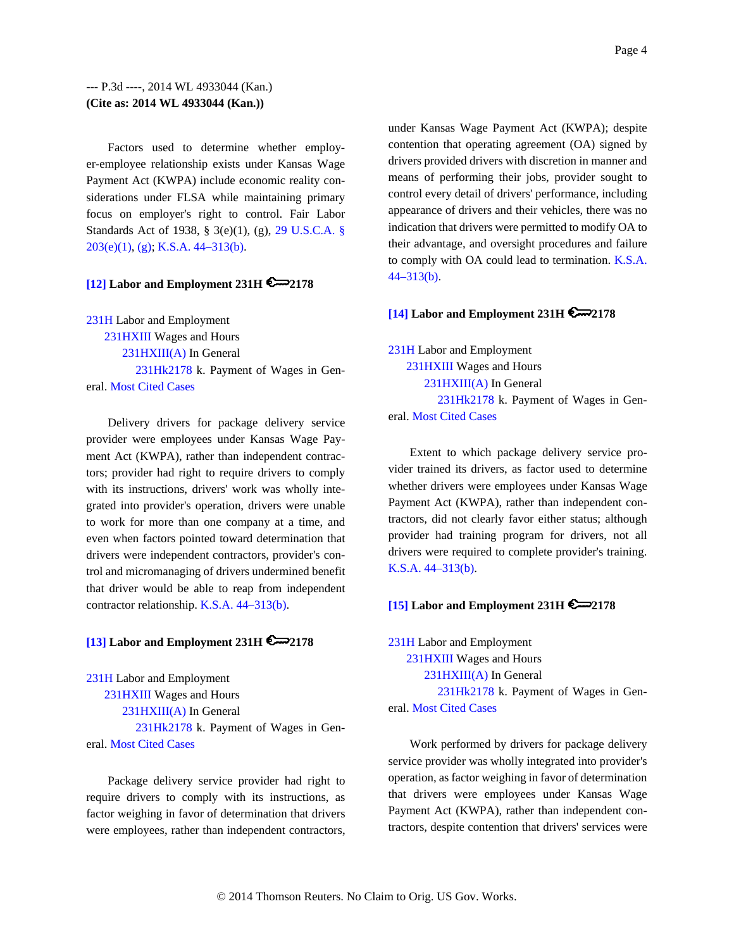Factors used to determine whether employer-employee relationship exists under Kansas Wage Payment Act (KWPA) include economic reality considerations under FLSA while maintaining primary focus on employer's right to control. Fair Labor Standards Act of 1938, § 3(e)(1), (g), 29 U.S.C.A. § 203(e)(1), (g); K.S.A. 44–313(b).

## **[12] Labor and Employment 231H 2178**

231H Labor and Employment 231HXIII Wages and Hours 231HXIII(A) In General 231Hk2178 k. Payment of Wages in General. Most Cited Cases

Delivery drivers for package delivery service provider were employees under Kansas Wage Payment Act (KWPA), rather than independent contractors; provider had right to require drivers to comply with its instructions, drivers' work was wholly integrated into provider's operation, drivers were unable to work for more than one company at a time, and even when factors pointed toward determination that drivers were independent contractors, provider's control and micromanaging of drivers undermined benefit that driver would be able to reap from independent contractor relationship. K.S.A. 44–313(b).

#### **[13] Labor and Employment 231H 2178**

231H Labor and Employment 231HXIII Wages and Hours 231HXIII(A) In General 231Hk2178 k. Payment of Wages in General. Most Cited Cases

Package delivery service provider had right to require drivers to comply with its instructions, as factor weighing in favor of determination that drivers were employees, rather than independent contractors, under Kansas Wage Payment Act (KWPA); despite contention that operating agreement (OA) signed by drivers provided drivers with discretion in manner and means of performing their jobs, provider sought to control every detail of drivers' performance, including appearance of drivers and their vehicles, there was no indication that drivers were permitted to modify OA to their advantage, and oversight procedures and failure to comply with OA could lead to termination. K.S.A.  $44 - 313(b)$ .

### **[14] Labor and Employment 231H 2178**

231H Labor and Employment 231HXIII Wages and Hours 231HXIII(A) In General 231Hk2178 k. Payment of Wages in General. Most Cited Cases

Extent to which package delivery service provider trained its drivers, as factor used to determine whether drivers were employees under Kansas Wage Payment Act (KWPA), rather than independent contractors, did not clearly favor either status; although provider had training program for drivers, not all drivers were required to complete provider's training. K.S.A. 44–313(b).

## **[15] Labor and Employment 231H**  $\approx$  **2178**

231H Labor and Employment 231HXIII Wages and Hours

231HXIII(A) In General

 231Hk2178 k. Payment of Wages in General. Most Cited Cases

Work performed by drivers for package delivery service provider was wholly integrated into provider's operation, as factor weighing in favor of determination that drivers were employees under Kansas Wage Payment Act (KWPA), rather than independent contractors, despite contention that drivers' services were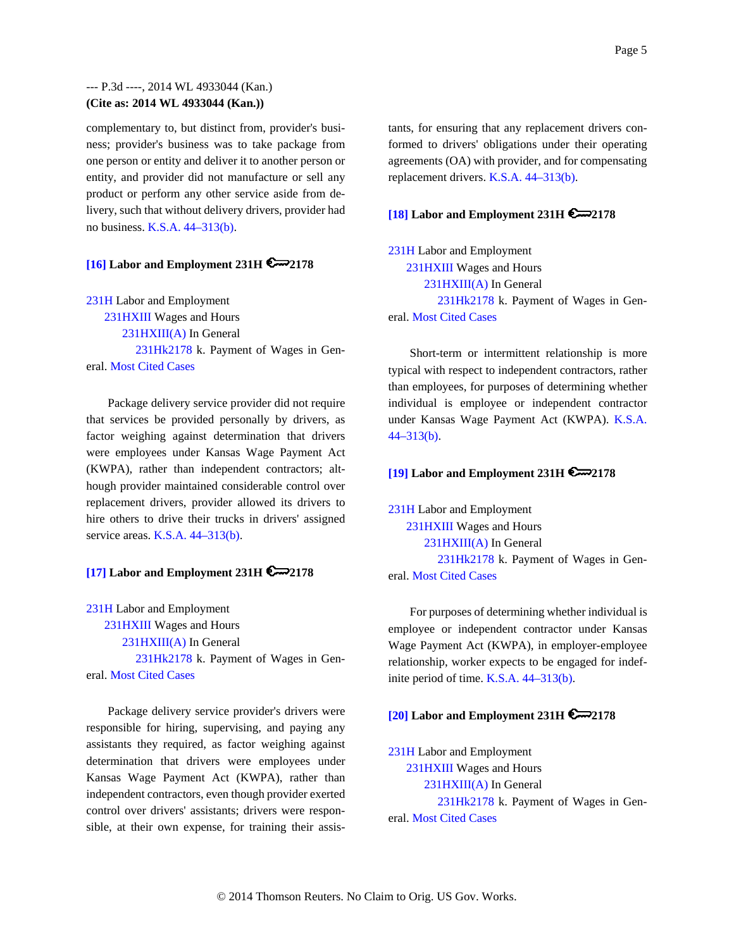complementary to, but distinct from, provider's business; provider's business was to take package from one person or entity and deliver it to another person or entity, and provider did not manufacture or sell any product or perform any other service aside from delivery, such that without delivery drivers, provider had no business. K.S.A. 44–313(b).

#### **[16] Labor and Employment 231H 2178**

231H Labor and Employment 231HXIII Wages and Hours 231HXIII(A) In General 231Hk2178 k. Payment of Wages in General. Most Cited Cases

Package delivery service provider did not require that services be provided personally by drivers, as factor weighing against determination that drivers were employees under Kansas Wage Payment Act (KWPA), rather than independent contractors; although provider maintained considerable control over replacement drivers, provider allowed its drivers to hire others to drive their trucks in drivers' assigned service areas. K.S.A. 44–313(b).

### **[17] Labor and Employment 231H 2178**

231H Labor and Employment 231HXIII Wages and Hours 231HXIII(A) In General 231Hk2178 k. Payment of Wages in General. Most Cited Cases

Package delivery service provider's drivers were responsible for hiring, supervising, and paying any assistants they required, as factor weighing against determination that drivers were employees under Kansas Wage Payment Act (KWPA), rather than independent contractors, even though provider exerted control over drivers' assistants; drivers were responsible, at their own expense, for training their assistants, for ensuring that any replacement drivers conformed to drivers' obligations under their operating agreements (OA) with provider, and for compensating replacement drivers. K.S.A. 44–313(b).

## **[18] Labor and Employment 231H 2178**

231H Labor and Employment 231HXIII Wages and Hours 231HXIII(A) In General 231Hk2178 k. Payment of Wages in General. Most Cited Cases

Short-term or intermittent relationship is more typical with respect to independent contractors, rather than employees, for purposes of determining whether individual is employee or independent contractor under Kansas Wage Payment Act (KWPA). K.S.A.  $44 - 313(b)$ .

#### **[19] Labor and Employment 231H 2178**

231H Labor and Employment 231HXIII Wages and Hours 231HXIII(A) In General 231Hk2178 k. Payment of Wages in General. Most Cited Cases

For purposes of determining whether individual is employee or independent contractor under Kansas Wage Payment Act (KWPA), in employer-employee relationship, worker expects to be engaged for indefinite period of time. K.S.A. 44–313(b).

# **[20] Labor and Employment 231H 2178**

231H Labor and Employment 231HXIII Wages and Hours 231HXIII(A) In General 231Hk2178 k. Payment of Wages in General. Most Cited Cases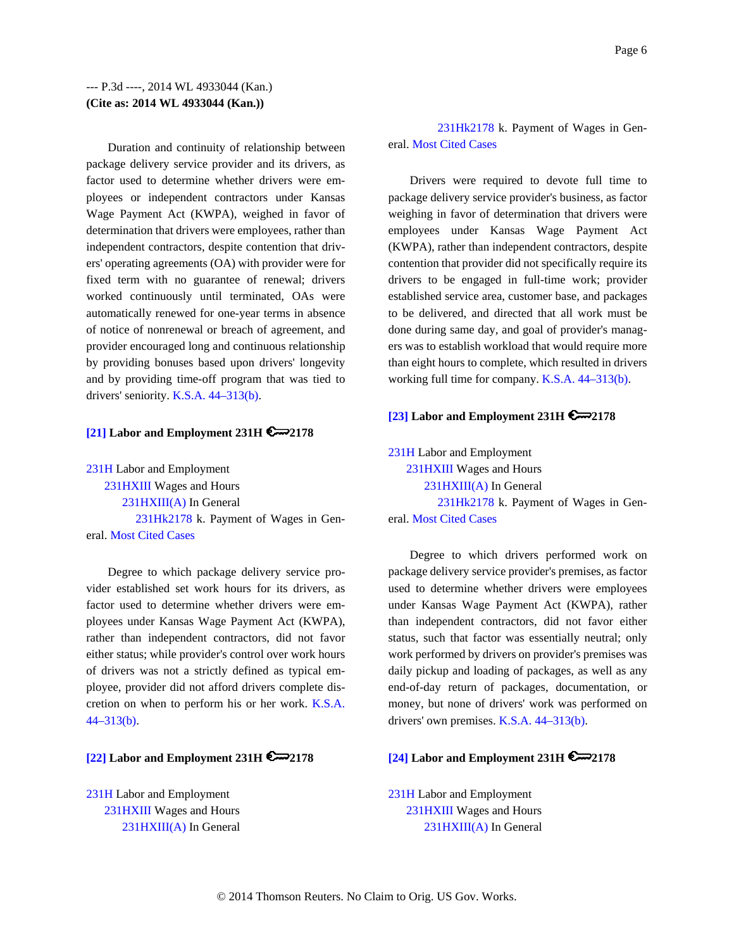Duration and continuity of relationship between package delivery service provider and its drivers, as factor used to determine whether drivers were employees or independent contractors under Kansas Wage Payment Act (KWPA), weighed in favor of determination that drivers were employees, rather than independent contractors, despite contention that drivers' operating agreements (OA) with provider were for fixed term with no guarantee of renewal; drivers worked continuously until terminated, OAs were automatically renewed for one-year terms in absence of notice of nonrenewal or breach of agreement, and provider encouraged long and continuous relationship by providing bonuses based upon drivers' longevity and by providing time-off program that was tied to drivers' seniority. K.S.A. 44–313(b).

#### **[21] Labor and Employment 231H 2178**

231H Labor and Employment 231HXIII Wages and Hours 231HXIII(A) In General 231Hk2178 k. Payment of Wages in General. Most Cited Cases

Degree to which package delivery service provider established set work hours for its drivers, as factor used to determine whether drivers were employees under Kansas Wage Payment Act (KWPA), rather than independent contractors, did not favor either status; while provider's control over work hours of drivers was not a strictly defined as typical employee, provider did not afford drivers complete discretion on when to perform his or her work. K.S.A. 44–313(b).

# **[22] Labor and Employment 231H 2178**

231H Labor and Employment 231HXIII Wages and Hours 231HXIII(A) In General

 231Hk2178 k. Payment of Wages in General. Most Cited Cases

Drivers were required to devote full time to package delivery service provider's business, as factor weighing in favor of determination that drivers were employees under Kansas Wage Payment Act (KWPA), rather than independent contractors, despite contention that provider did not specifically require its drivers to be engaged in full-time work; provider established service area, customer base, and packages to be delivered, and directed that all work must be done during same day, and goal of provider's managers was to establish workload that would require more than eight hours to complete, which resulted in drivers working full time for company. K.S.A. 44–313(b).

#### **[23] Labor and Employment 231H 2178**

231H Labor and Employment 231HXIII Wages and Hours 231HXIII(A) In General 231Hk2178 k. Payment of Wages in General. Most Cited Cases

Degree to which drivers performed work on package delivery service provider's premises, as factor used to determine whether drivers were employees under Kansas Wage Payment Act (KWPA), rather than independent contractors, did not favor either status, such that factor was essentially neutral; only work performed by drivers on provider's premises was daily pickup and loading of packages, as well as any end-of-day return of packages, documentation, or money, but none of drivers' work was performed on drivers' own premises. K.S.A. 44–313(b).

## **[24] Labor and Employment 231H 2178**

231H Labor and Employment 231HXIII Wages and Hours 231HXIII(A) In General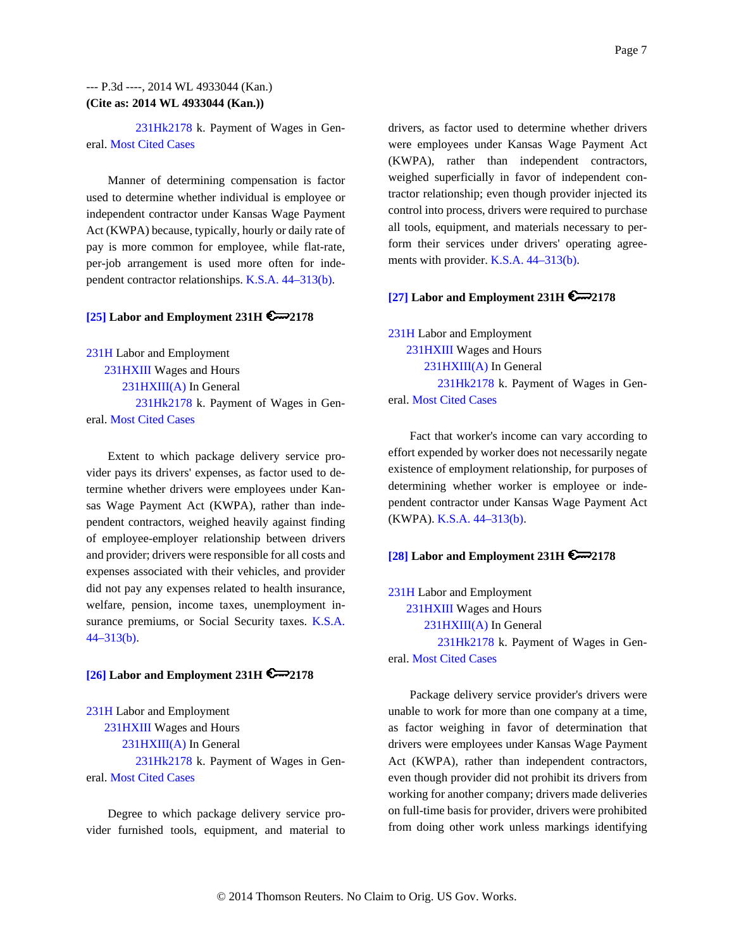231Hk2178 k. Payment of Wages in General. Most Cited Cases

Manner of determining compensation is factor used to determine whether individual is employee or independent contractor under Kansas Wage Payment Act (KWPA) because, typically, hourly or daily rate of pay is more common for employee, while flat-rate, per-job arrangement is used more often for independent contractor relationships. K.S.A. 44–313(b).

# **[25] Labor and Employment 231H 2178**

231H Labor and Employment

 231HXIII Wages and Hours 231HXIII(A) In General 231Hk2178 k. Payment of Wages in General. Most Cited Cases

Extent to which package delivery service provider pays its drivers' expenses, as factor used to determine whether drivers were employees under Kansas Wage Payment Act (KWPA), rather than independent contractors, weighed heavily against finding of employee-employer relationship between drivers and provider; drivers were responsible for all costs and expenses associated with their vehicles, and provider did not pay any expenses related to health insurance, welfare, pension, income taxes, unemployment insurance premiums, or Social Security taxes. K.S.A. 44–313(b).

#### **[26] Labor and Employment 231H**  $\epsilon$ 2178

231H Labor and Employment 231HXIII Wages and Hours 231HXIII(A) In General 231Hk2178 k. Payment of Wages in General. Most Cited Cases

Degree to which package delivery service provider furnished tools, equipment, and material to drivers, as factor used to determine whether drivers were employees under Kansas Wage Payment Act (KWPA), rather than independent contractors, weighed superficially in favor of independent contractor relationship; even though provider injected its control into process, drivers were required to purchase all tools, equipment, and materials necessary to perform their services under drivers' operating agreements with provider. K.S.A. 44–313(b).

### **[27] Labor and Employment 231H 2178**

231H Labor and Employment 231HXIII Wages and Hours 231HXIII(A) In General 231Hk2178 k. Payment of Wages in General. Most Cited Cases

Fact that worker's income can vary according to effort expended by worker does not necessarily negate existence of employment relationship, for purposes of determining whether worker is employee or independent contractor under Kansas Wage Payment Act (KWPA). K.S.A. 44–313(b).

## **[28] Labor and Employment 231H 2178**

231H Labor and Employment 231HXIII Wages and Hours 231HXIII(A) In General 231Hk2178 k. Payment of Wages in General. Most Cited Cases

Package delivery service provider's drivers were unable to work for more than one company at a time, as factor weighing in favor of determination that drivers were employees under Kansas Wage Payment Act (KWPA), rather than independent contractors, even though provider did not prohibit its drivers from working for another company; drivers made deliveries on full-time basis for provider, drivers were prohibited from doing other work unless markings identifying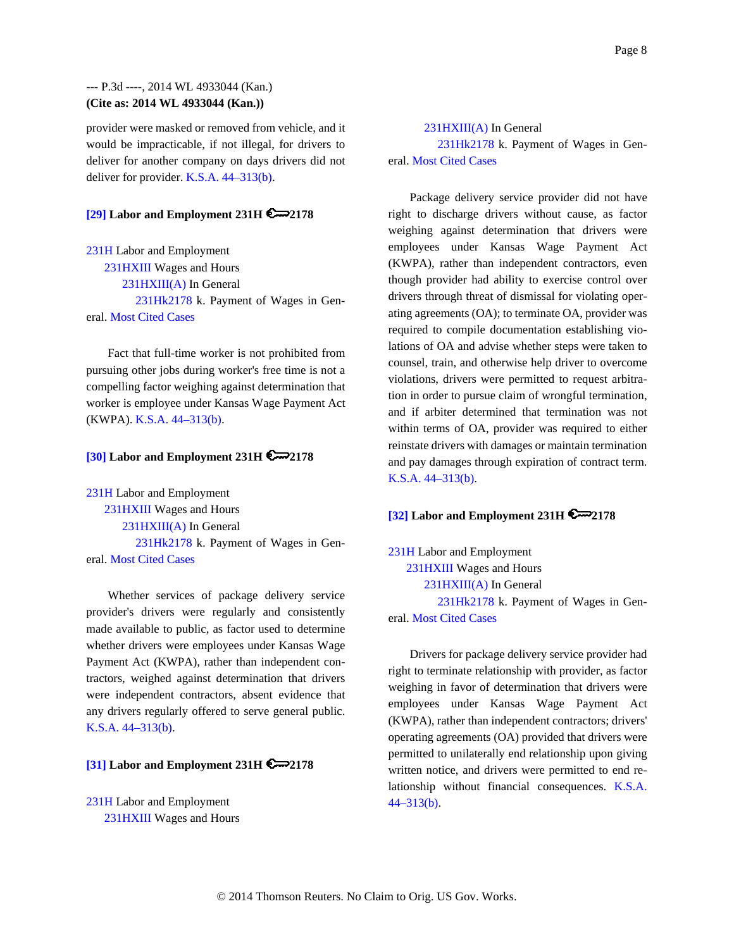provider were masked or removed from vehicle, and it would be impracticable, if not illegal, for drivers to deliver for another company on days drivers did not deliver for provider. K.S.A. 44–313(b).

## **[29] Labor and Employment 231H 2178**

231H Labor and Employment 231HXIII Wages and Hours 231HXIII(A) In General 231Hk2178 k. Payment of Wages in General. Most Cited Cases

Fact that full-time worker is not prohibited from pursuing other jobs during worker's free time is not a compelling factor weighing against determination that worker is employee under Kansas Wage Payment Act (KWPA). K.S.A. 44–313(b).

#### **[30] Labor and Employment 231H 2178**

231H Labor and Employment 231HXIII Wages and Hours 231HXIII(A) In General 231Hk2178 k. Payment of Wages in General. Most Cited Cases

Whether services of package delivery service provider's drivers were regularly and consistently made available to public, as factor used to determine whether drivers were employees under Kansas Wage Payment Act (KWPA), rather than independent contractors, weighed against determination that drivers were independent contractors, absent evidence that any drivers regularly offered to serve general public. K.S.A. 44–313(b).

### **[31] Labor and Employment 231H 2178**

231H Labor and Employment 231HXIII Wages and Hours

 231HXIII(A) In General 231Hk2178 k. Payment of Wages in General. Most Cited Cases

Package delivery service provider did not have right to discharge drivers without cause, as factor weighing against determination that drivers were employees under Kansas Wage Payment Act (KWPA), rather than independent contractors, even though provider had ability to exercise control over drivers through threat of dismissal for violating operating agreements (OA); to terminate OA, provider was required to compile documentation establishing violations of OA and advise whether steps were taken to counsel, train, and otherwise help driver to overcome violations, drivers were permitted to request arbitration in order to pursue claim of wrongful termination, and if arbiter determined that termination was not within terms of OA, provider was required to either reinstate drivers with damages or maintain termination and pay damages through expiration of contract term. K.S.A. 44–313(b).

## **[32] Labor and Employment 231H 2178**

231H Labor and Employment 231HXIII Wages and Hours 231HXIII(A) In General 231Hk2178 k. Payment of Wages in General. Most Cited Cases

Drivers for package delivery service provider had right to terminate relationship with provider, as factor weighing in favor of determination that drivers were employees under Kansas Wage Payment Act (KWPA), rather than independent contractors; drivers' operating agreements (OA) provided that drivers were permitted to unilaterally end relationship upon giving written notice, and drivers were permitted to end relationship without financial consequences. K.S.A. 44–313(b).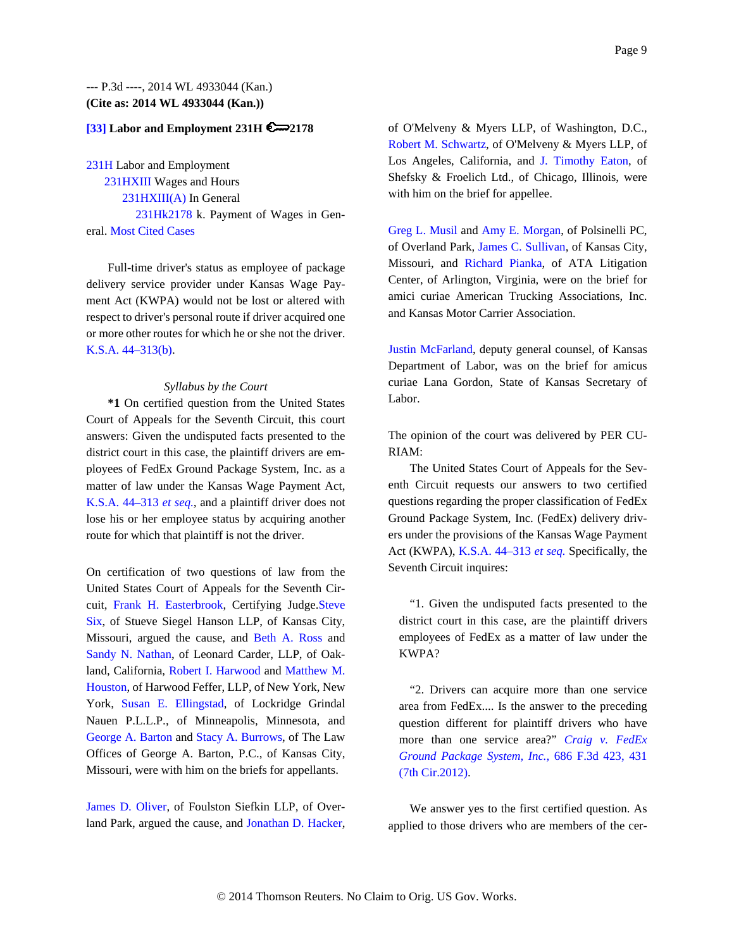#### **[33] Labor and Employment 231H 2178**

231H Labor and Employment 231HXIII Wages and Hours 231HXIII(A) In General 231Hk2178 k. Payment of Wages in General. Most Cited Cases

Full-time driver's status as employee of package delivery service provider under Kansas Wage Payment Act (KWPA) would not be lost or altered with respect to driver's personal route if driver acquired one or more other routes for which he or she not the driver. K.S.A. 44–313(b).

#### *Syllabus by the Court*

**\*1** On certified question from the United States Court of Appeals for the Seventh Circuit, this court answers: Given the undisputed facts presented to the district court in this case, the plaintiff drivers are employees of FedEx Ground Package System, Inc. as a matter of law under the Kansas Wage Payment Act, K.S.A. 44–313 *et seq.,* and a plaintiff driver does not lose his or her employee status by acquiring another route for which that plaintiff is not the driver.

On certification of two questions of law from the United States Court of Appeals for the Seventh Circuit, Frank H. Easterbrook, Certifying Judge.Steve Six, of Stueve Siegel Hanson LLP, of Kansas City, Missouri, argued the cause, and Beth A. Ross and Sandy N. Nathan, of Leonard Carder, LLP, of Oakland, California, Robert I. Harwood and Matthew M. Houston, of Harwood Feffer, LLP, of New York, New York, Susan E. Ellingstad, of Lockridge Grindal Nauen P.L.L.P., of Minneapolis, Minnesota, and George A. Barton and Stacy A. Burrows, of The Law Offices of George A. Barton, P.C., of Kansas City, Missouri, were with him on the briefs for appellants.

James D. Oliver, of Foulston Siefkin LLP, of Overland Park, argued the cause, and Jonathan D. Hacker, of O'Melveny & Myers LLP, of Washington, D.C., Robert M. Schwartz, of O'Melveny & Myers LLP, of Los Angeles, California, and J. Timothy Eaton, of Shefsky & Froelich Ltd., of Chicago, Illinois, were with him on the brief for appellee.

Greg L. Musil and Amy E. Morgan, of Polsinelli PC, of Overland Park, James C. Sullivan, of Kansas City, Missouri, and Richard Pianka, of ATA Litigation Center, of Arlington, Virginia, were on the brief for amici curiae American Trucking Associations, Inc. and Kansas Motor Carrier Association.

Justin McFarland, deputy general counsel, of Kansas Department of Labor, was on the brief for amicus curiae Lana Gordon, State of Kansas Secretary of Labor.

The opinion of the court was delivered by PER CU-RIAM:

The United States Court of Appeals for the Seventh Circuit requests our answers to two certified questions regarding the proper classification of FedEx Ground Package System, Inc. (FedEx) delivery drivers under the provisions of the Kansas Wage Payment Act (KWPA), K.S.A. 44–313 *et seq.* Specifically, the Seventh Circuit inquires:

"1. Given the undisputed facts presented to the district court in this case, are the plaintiff drivers employees of FedEx as a matter of law under the KWPA?

"2. Drivers can acquire more than one service area from FedEx.... Is the answer to the preceding question different for plaintiff drivers who have more than one service area?" *Craig v. FedEx Ground Package System, Inc.,* 686 F.3d 423, 431 (7th Cir.2012).

We answer yes to the first certified question. As applied to those drivers who are members of the cer-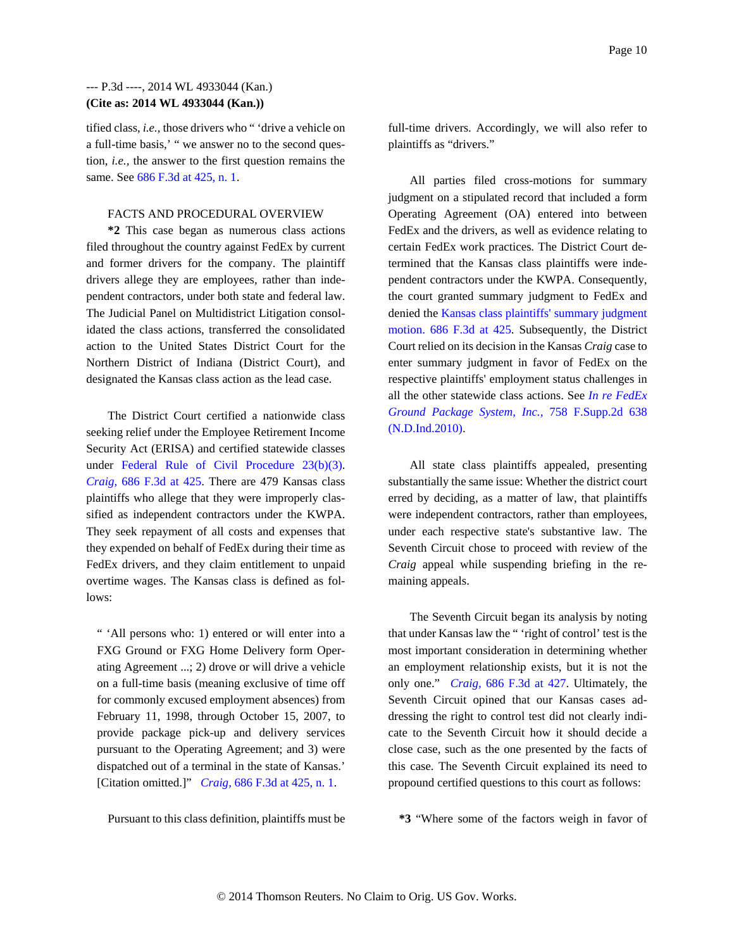tified class, *i.e.,* those drivers who " 'drive a vehicle on a full-time basis,' " we answer no to the second question, *i.e.,* the answer to the first question remains the same. See 686 F.3d at 425, n. 1.

#### FACTS AND PROCEDURAL OVERVIEW

**\*2** This case began as numerous class actions filed throughout the country against FedEx by current and former drivers for the company. The plaintiff drivers allege they are employees, rather than independent contractors, under both state and federal law. The Judicial Panel on Multidistrict Litigation consolidated the class actions, transferred the consolidated action to the United States District Court for the Northern District of Indiana (District Court), and designated the Kansas class action as the lead case.

The District Court certified a nationwide class seeking relief under the Employee Retirement Income Security Act (ERISA) and certified statewide classes under Federal Rule of Civil Procedure 23(b)(3). *Craig,* 686 F.3d at 425. There are 479 Kansas class plaintiffs who allege that they were improperly classified as independent contractors under the KWPA. They seek repayment of all costs and expenses that they expended on behalf of FedEx during their time as FedEx drivers, and they claim entitlement to unpaid overtime wages. The Kansas class is defined as follows:

" 'All persons who: 1) entered or will enter into a FXG Ground or FXG Home Delivery form Operating Agreement ...; 2) drove or will drive a vehicle on a full-time basis (meaning exclusive of time off for commonly excused employment absences) from February 11, 1998, through October 15, 2007, to provide package pick-up and delivery services pursuant to the Operating Agreement; and 3) were dispatched out of a terminal in the state of Kansas.' [Citation omitted.]" *Craig,* 686 F.3d at 425, n. 1.

full-time drivers. Accordingly, we will also refer to plaintiffs as "drivers."

All parties filed cross-motions for summary judgment on a stipulated record that included a form Operating Agreement (OA) entered into between FedEx and the drivers, as well as evidence relating to certain FedEx work practices. The District Court determined that the Kansas class plaintiffs were independent contractors under the KWPA. Consequently, the court granted summary judgment to FedEx and denied the Kansas class plaintiffs' summary judgment motion. 686 F.3d at 425. Subsequently, the District Court relied on its decision in the Kansas *Craig* case to enter summary judgment in favor of FedEx on the respective plaintiffs' employment status challenges in all the other statewide class actions. See *In re FedEx Ground Package System, Inc.,* 758 F.Supp.2d 638 (N.D.Ind.2010).

All state class plaintiffs appealed, presenting substantially the same issue: Whether the district court erred by deciding, as a matter of law, that plaintiffs were independent contractors, rather than employees, under each respective state's substantive law. The Seventh Circuit chose to proceed with review of the *Craig* appeal while suspending briefing in the remaining appeals.

The Seventh Circuit began its analysis by noting that under Kansas law the " 'right of control' test is the most important consideration in determining whether an employment relationship exists, but it is not the only one." *Craig,* 686 F.3d at 427. Ultimately, the Seventh Circuit opined that our Kansas cases addressing the right to control test did not clearly indicate to the Seventh Circuit how it should decide a close case, such as the one presented by the facts of this case. The Seventh Circuit explained its need to propound certified questions to this court as follows:

Pursuant to this class definition, plaintiffs must be

**\*3** "Where some of the factors weigh in favor of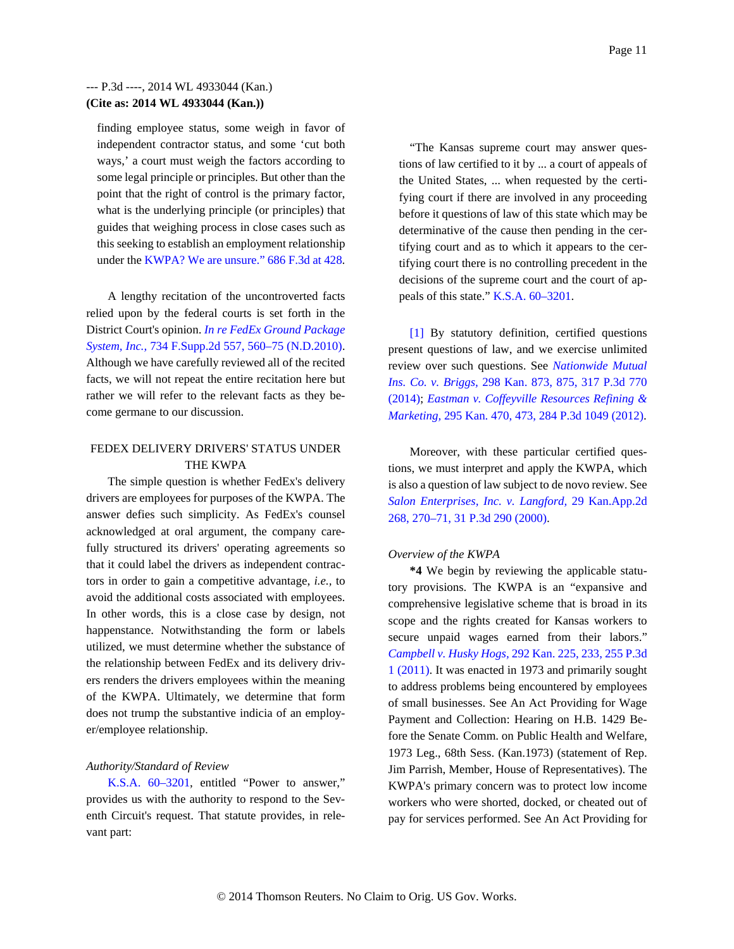finding employee status, some weigh in favor of independent contractor status, and some 'cut both ways,' a court must weigh the factors according to some legal principle or principles. But other than the point that the right of control is the primary factor, what is the underlying principle (or principles) that guides that weighing process in close cases such as this seeking to establish an employment relationship under the KWPA? We are unsure." 686 F.3d at 428.

A lengthy recitation of the uncontroverted facts relied upon by the federal courts is set forth in the District Court's opinion. *In re FedEx Ground Package System, Inc.,* 734 F.Supp.2d 557, 560–75 (N.D.2010). Although we have carefully reviewed all of the recited facts, we will not repeat the entire recitation here but rather we will refer to the relevant facts as they become germane to our discussion.

### FEDEX DELIVERY DRIVERS' STATUS UNDER THE KWPA

The simple question is whether FedEx's delivery drivers are employees for purposes of the KWPA. The answer defies such simplicity. As FedEx's counsel acknowledged at oral argument, the company carefully structured its drivers' operating agreements so that it could label the drivers as independent contractors in order to gain a competitive advantage, *i.e.,* to avoid the additional costs associated with employees. In other words, this is a close case by design, not happenstance. Notwithstanding the form or labels utilized, we must determine whether the substance of the relationship between FedEx and its delivery drivers renders the drivers employees within the meaning of the KWPA. Ultimately, we determine that form does not trump the substantive indicia of an employer/employee relationship.

#### *Authority/Standard of Review*

K.S.A. 60–3201, entitled "Power to answer," provides us with the authority to respond to the Seventh Circuit's request. That statute provides, in relevant part:

"The Kansas supreme court may answer questions of law certified to it by ... a court of appeals of the United States, ... when requested by the certifying court if there are involved in any proceeding before it questions of law of this state which may be determinative of the cause then pending in the certifying court and as to which it appears to the certifying court there is no controlling precedent in the decisions of the supreme court and the court of appeals of this state." K.S.A. 60–3201.

[1] By statutory definition, certified questions present questions of law, and we exercise unlimited review over such questions. See *Nationwide Mutual Ins. Co. v. Briggs,* 298 Kan. 873, 875, 317 P.3d 770 (2014); *Eastman v. Coffeyville Resources Refining & Marketing,* 295 Kan. 470, 473, 284 P.3d 1049 (2012).

Moreover, with these particular certified questions, we must interpret and apply the KWPA, which is also a question of law subject to de novo review. See *Salon Enterprises, Inc. v. Langford,* 29 Kan.App.2d 268, 270–71, 31 P.3d 290 (2000).

#### *Overview of the KWPA*

**\*4** We begin by reviewing the applicable statutory provisions. The KWPA is an "expansive and comprehensive legislative scheme that is broad in its scope and the rights created for Kansas workers to secure unpaid wages earned from their labors." *Campbell v. Husky Hogs,* 292 Kan. 225, 233, 255 P.3d 1 (2011). It was enacted in 1973 and primarily sought to address problems being encountered by employees of small businesses. See An Act Providing for Wage Payment and Collection: Hearing on H.B. 1429 Before the Senate Comm. on Public Health and Welfare, 1973 Leg., 68th Sess. (Kan.1973) (statement of Rep. Jim Parrish, Member, House of Representatives). The KWPA's primary concern was to protect low income workers who were shorted, docked, or cheated out of pay for services performed. See An Act Providing for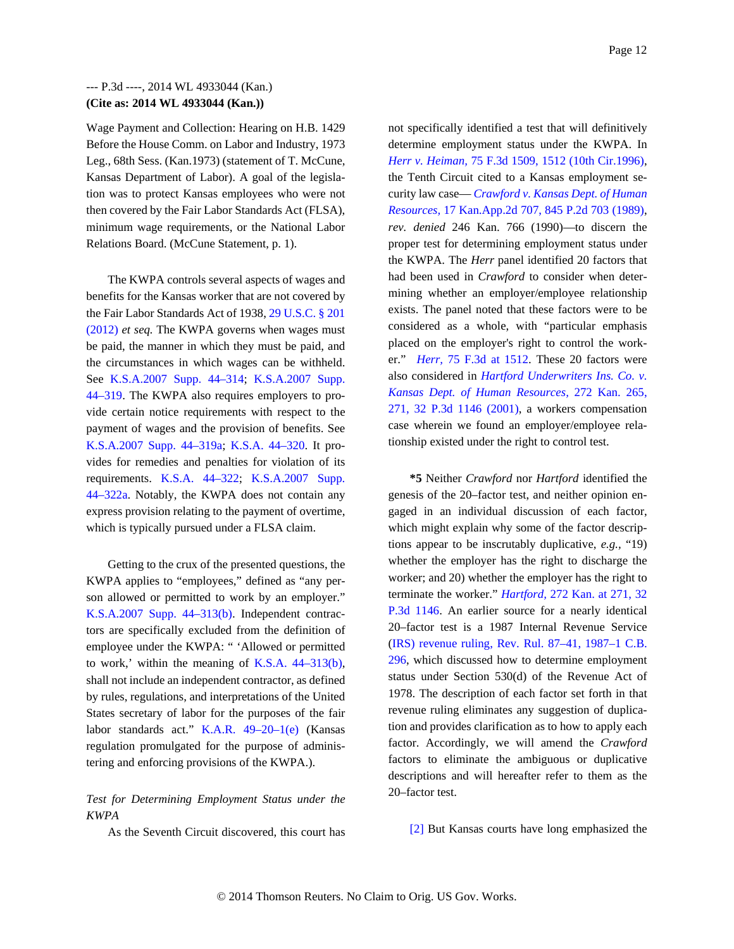Wage Payment and Collection: Hearing on H.B. 1429 Before the House Comm. on Labor and Industry, 1973 Leg., 68th Sess. (Kan.1973) (statement of T. McCune, Kansas Department of Labor). A goal of the legislation was to protect Kansas employees who were not then covered by the Fair Labor Standards Act (FLSA), minimum wage requirements, or the National Labor Relations Board. (McCune Statement, p. 1).

The KWPA controls several aspects of wages and benefits for the Kansas worker that are not covered by the Fair Labor Standards Act of 1938, 29 U.S.C. § 201 (2012) *et seq.* The KWPA governs when wages must be paid, the manner in which they must be paid, and the circumstances in which wages can be withheld. See K.S.A.2007 Supp. 44–314; K.S.A.2007 Supp. 44–319. The KWPA also requires employers to provide certain notice requirements with respect to the payment of wages and the provision of benefits. See K.S.A.2007 Supp. 44–319a; K.S.A. 44–320. It provides for remedies and penalties for violation of its requirements. K.S.A. 44–322; K.S.A.2007 Supp. 44–322a. Notably, the KWPA does not contain any express provision relating to the payment of overtime, which is typically pursued under a FLSA claim.

Getting to the crux of the presented questions, the KWPA applies to "employees," defined as "any person allowed or permitted to work by an employer." K.S.A.2007 Supp. 44–313(b). Independent contractors are specifically excluded from the definition of employee under the KWPA: " 'Allowed or permitted to work,' within the meaning of K.S.A. 44–313(b), shall not include an independent contractor, as defined by rules, regulations, and interpretations of the United States secretary of labor for the purposes of the fair labor standards act." K.A.R. 49–20–1(e) (Kansas regulation promulgated for the purpose of administering and enforcing provisions of the KWPA.).

### *Test for Determining Employment Status under the KWPA*

As the Seventh Circuit discovered, this court has

not specifically identified a test that will definitively determine employment status under the KWPA. In *Herr v. Heiman,* 75 F.3d 1509, 1512 (10th Cir.1996), the Tenth Circuit cited to a Kansas employment security law case— *Crawford v. Kansas Dept. of Human Resources,* 17 Kan.App.2d 707, 845 P.2d 703 (1989), *rev. denied* 246 Kan. 766 (1990)—to discern the proper test for determining employment status under the KWPA. The *Herr* panel identified 20 factors that had been used in *Crawford* to consider when determining whether an employer/employee relationship exists. The panel noted that these factors were to be considered as a whole, with "particular emphasis placed on the employer's right to control the worker." *Herr,* 75 F.3d at 1512. These 20 factors were also considered in *Hartford Underwriters Ins. Co. v. Kansas Dept. of Human Resources,* 272 Kan. 265, 271, 32 P.3d 1146 (2001), a workers compensation case wherein we found an employer/employee relationship existed under the right to control test.

**\*5** Neither *Crawford* nor *Hartford* identified the genesis of the 20–factor test, and neither opinion engaged in an individual discussion of each factor, which might explain why some of the factor descriptions appear to be inscrutably duplicative, *e.g.,* "19) whether the employer has the right to discharge the worker; and 20) whether the employer has the right to terminate the worker." *Hartford,* 272 Kan. at 271, 32 P.3d 1146. An earlier source for a nearly identical 20–factor test is a 1987 Internal Revenue Service (IRS) revenue ruling, Rev. Rul. 87–41, 1987–1 C.B. 296, which discussed how to determine employment status under Section 530(d) of the Revenue Act of 1978. The description of each factor set forth in that revenue ruling eliminates any suggestion of duplication and provides clarification as to how to apply each factor. Accordingly, we will amend the *Crawford* factors to eliminate the ambiguous or duplicative descriptions and will hereafter refer to them as the 20–factor test.

[2] But Kansas courts have long emphasized the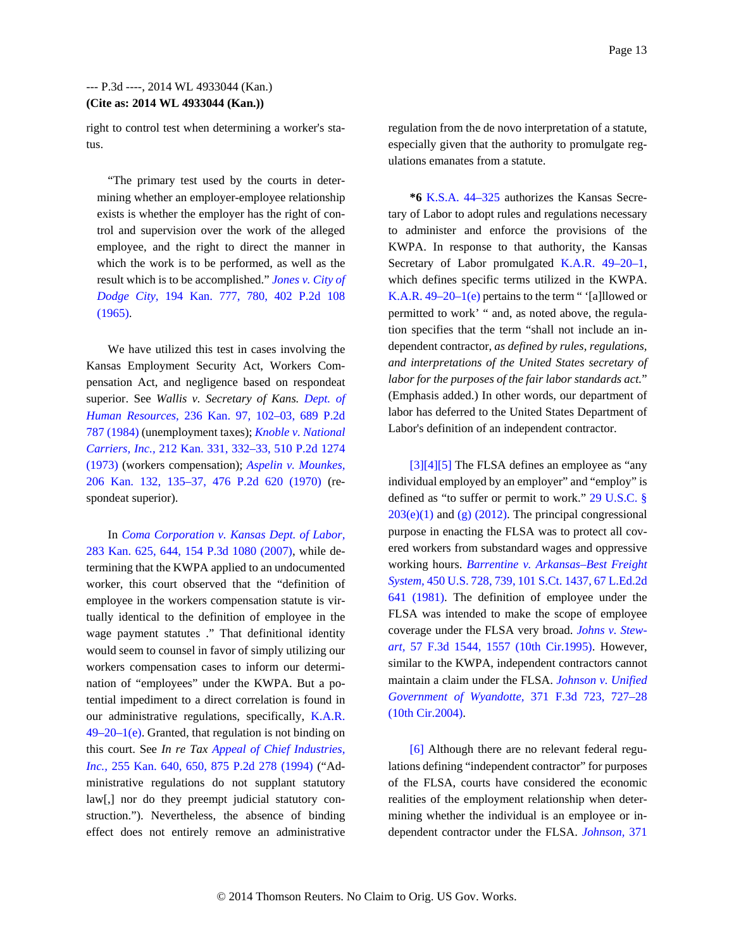right to control test when determining a worker's status.

"The primary test used by the courts in determining whether an employer-employee relationship exists is whether the employer has the right of control and supervision over the work of the alleged employee, and the right to direct the manner in which the work is to be performed, as well as the result which is to be accomplished." *Jones v. City of Dodge City,* 194 Kan. 777, 780, 402 P.2d 108 (1965).

We have utilized this test in cases involving the Kansas Employment Security Act, Workers Compensation Act, and negligence based on respondeat superior. See *Wallis v. Secretary of Kans. Dept. of Human Resources,* 236 Kan. 97, 102–03, 689 P.2d 787 (1984) (unemployment taxes); *Knoble v. National Carriers, Inc.,* 212 Kan. 331, 332–33, 510 P.2d 1274 (1973) (workers compensation); *Aspelin v. Mounkes,* 206 Kan. 132, 135–37, 476 P.2d 620 (1970) (respondeat superior).

In *Coma Corporation v. Kansas Dept. of Labor,* 283 Kan. 625, 644, 154 P.3d 1080 (2007), while determining that the KWPA applied to an undocumented worker, this court observed that the "definition of employee in the workers compensation statute is virtually identical to the definition of employee in the wage payment statutes ." That definitional identity would seem to counsel in favor of simply utilizing our workers compensation cases to inform our determination of "employees" under the KWPA. But a potential impediment to a direct correlation is found in our administrative regulations, specifically, K.A.R.  $49-20-1$ (e). Granted, that regulation is not binding on this court. See *In re Tax Appeal of Chief Industries, Inc.,* 255 Kan. 640, 650, 875 P.2d 278 (1994) ("Administrative regulations do not supplant statutory law[,] nor do they preempt judicial statutory construction."). Nevertheless, the absence of binding effect does not entirely remove an administrative

regulation from the de novo interpretation of a statute, especially given that the authority to promulgate regulations emanates from a statute.

**\*6** K.S.A. 44–325 authorizes the Kansas Secretary of Labor to adopt rules and regulations necessary to administer and enforce the provisions of the KWPA. In response to that authority, the Kansas Secretary of Labor promulgated K.A.R. 49–20–1, which defines specific terms utilized in the KWPA. K.A.R.  $49-20-1$ (e) pertains to the term " '[a]llowed or permitted to work' " and, as noted above, the regulation specifies that the term "shall not include an independent contractor, *as defined by rules, regulations, and interpretations of the United States secretary of labor for the purposes of the fair labor standards act.*" (Emphasis added.) In other words, our department of labor has deferred to the United States Department of Labor's definition of an independent contractor.

[3][4][5] The FLSA defines an employee as "any individual employed by an employer" and "employ" is defined as "to suffer or permit to work." 29 U.S.C. §  $203(e)(1)$  and (g) (2012). The principal congressional purpose in enacting the FLSA was to protect all covered workers from substandard wages and oppressive working hours. *Barrentine v. Arkansas–Best Freight System,* 450 U.S. 728, 739, 101 S.Ct. 1437, 67 L.Ed.2d 641 (1981). The definition of employee under the FLSA was intended to make the scope of employee coverage under the FLSA very broad. *Johns v. Stewart,* 57 F.3d 1544, 1557 (10th Cir.1995). However, similar to the KWPA, independent contractors cannot maintain a claim under the FLSA. *Johnson v. Unified Government of Wyandotte,* 371 F.3d 723, 727–28 (10th Cir.2004).

[6] Although there are no relevant federal regulations defining "independent contractor" for purposes of the FLSA, courts have considered the economic realities of the employment relationship when determining whether the individual is an employee or independent contractor under the FLSA. *Johnson,* 371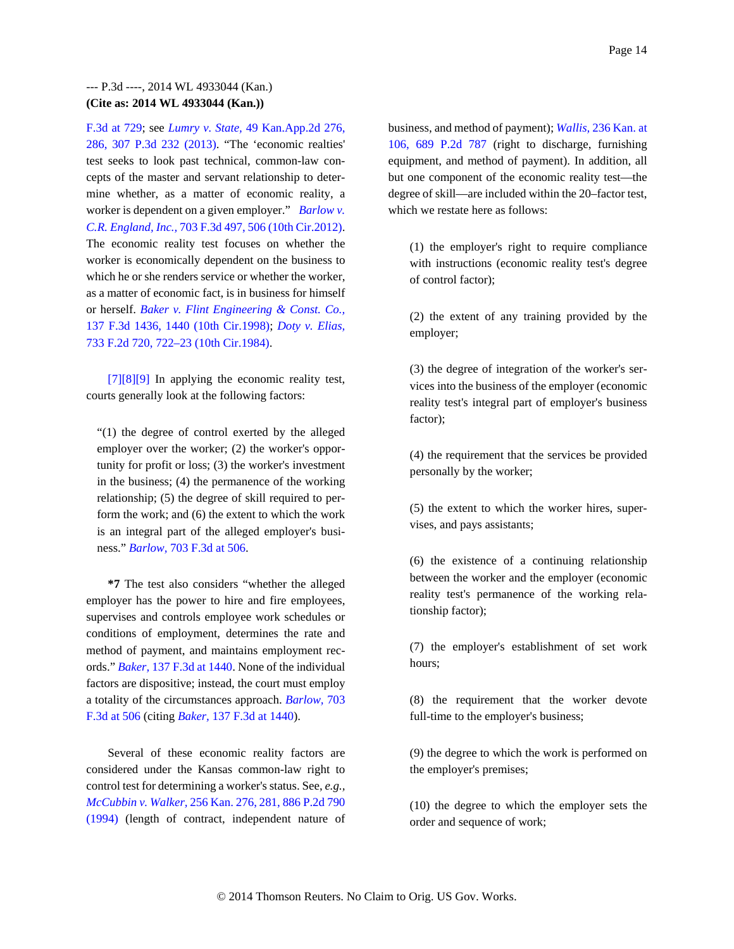F.3d at 729; see *Lumry v. State,* 49 Kan.App.2d 276, 286, 307 P.3d 232 (2013). "The 'economic realties' test seeks to look past technical, common-law concepts of the master and servant relationship to determine whether, as a matter of economic reality, a worker is dependent on a given employer." *Barlow v. C.R. England, Inc.,* 703 F.3d 497, 506 (10th Cir.2012). The economic reality test focuses on whether the worker is economically dependent on the business to which he or she renders service or whether the worker, as a matter of economic fact, is in business for himself or herself. *Baker v. Flint Engineering & Const. Co.,* 137 F.3d 1436, 1440 (10th Cir.1998); *Doty v. Elias,* 733 F.2d 720, 722–23 (10th Cir.1984).

[7][8][9] In applying the economic reality test, courts generally look at the following factors:

"(1) the degree of control exerted by the alleged employer over the worker; (2) the worker's opportunity for profit or loss; (3) the worker's investment in the business; (4) the permanence of the working relationship; (5) the degree of skill required to perform the work; and (6) the extent to which the work is an integral part of the alleged employer's business." *Barlow,* 703 F.3d at 506.

**\*7** The test also considers "whether the alleged employer has the power to hire and fire employees, supervises and controls employee work schedules or conditions of employment, determines the rate and method of payment, and maintains employment records." *Baker,* 137 F.3d at 1440. None of the individual factors are dispositive; instead, the court must employ a totality of the circumstances approach. *Barlow,* 703 F.3d at 506 (citing *Baker,* 137 F.3d at 1440).

Several of these economic reality factors are considered under the Kansas common-law right to control test for determining a worker's status. See, *e.g., McCubbin v. Walker,* 256 Kan. 276, 281, 886 P.2d 790 (1994) (length of contract, independent nature of business, and method of payment); *Wallis,* 236 Kan. at 106, 689 P.2d 787 (right to discharge, furnishing equipment, and method of payment). In addition, all but one component of the economic reality test—the degree of skill—are included within the 20–factor test, which we restate here as follows:

(1) the employer's right to require compliance with instructions (economic reality test's degree of control factor);

(2) the extent of any training provided by the employer;

(3) the degree of integration of the worker's services into the business of the employer (economic reality test's integral part of employer's business factor);

(4) the requirement that the services be provided personally by the worker;

(5) the extent to which the worker hires, supervises, and pays assistants;

(6) the existence of a continuing relationship between the worker and the employer (economic reality test's permanence of the working relationship factor);

(7) the employer's establishment of set work hours;

(8) the requirement that the worker devote full-time to the employer's business;

(9) the degree to which the work is performed on the employer's premises;

(10) the degree to which the employer sets the order and sequence of work;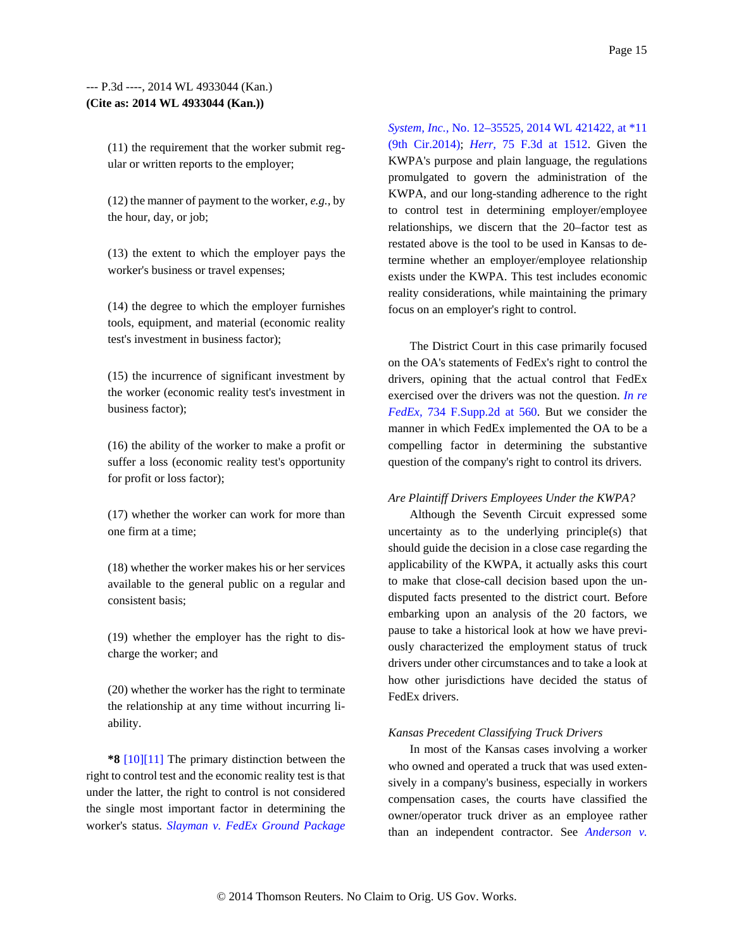(11) the requirement that the worker submit regular or written reports to the employer;

(12) the manner of payment to the worker, *e.g.,* by the hour, day, or job;

(13) the extent to which the employer pays the worker's business or travel expenses;

(14) the degree to which the employer furnishes tools, equipment, and material (economic reality test's investment in business factor);

(15) the incurrence of significant investment by the worker (economic reality test's investment in business factor);

(16) the ability of the worker to make a profit or suffer a loss (economic reality test's opportunity for profit or loss factor);

(17) whether the worker can work for more than one firm at a time;

(18) whether the worker makes his or her services available to the general public on a regular and consistent basis;

(19) whether the employer has the right to discharge the worker; and

(20) whether the worker has the right to terminate the relationship at any time without incurring liability.

**\*8** [10][11] The primary distinction between the right to control test and the economic reality test is that under the latter, the right to control is not considered the single most important factor in determining the worker's status. *Slayman v. FedEx Ground Package*  *System, Inc.,* No. 12–35525, 2014 WL 421422, at \*11 (9th Cir.2014); *Herr,* 75 F.3d at 1512. Given the KWPA's purpose and plain language, the regulations promulgated to govern the administration of the KWPA, and our long-standing adherence to the right to control test in determining employer/employee relationships, we discern that the 20–factor test as restated above is the tool to be used in Kansas to determine whether an employer/employee relationship exists under the KWPA. This test includes economic reality considerations, while maintaining the primary focus on an employer's right to control.

The District Court in this case primarily focused on the OA's statements of FedEx's right to control the drivers, opining that the actual control that FedEx exercised over the drivers was not the question. *In re FedEx,* 734 F.Supp.2d at 560. But we consider the manner in which FedEx implemented the OA to be a compelling factor in determining the substantive question of the company's right to control its drivers.

#### *Are Plaintiff Drivers Employees Under the KWPA?*

Although the Seventh Circuit expressed some uncertainty as to the underlying principle(s) that should guide the decision in a close case regarding the applicability of the KWPA, it actually asks this court to make that close-call decision based upon the undisputed facts presented to the district court. Before embarking upon an analysis of the 20 factors, we pause to take a historical look at how we have previously characterized the employment status of truck drivers under other circumstances and to take a look at how other jurisdictions have decided the status of FedEx drivers.

#### *Kansas Precedent Classifying Truck Drivers*

In most of the Kansas cases involving a worker who owned and operated a truck that was used extensively in a company's business, especially in workers compensation cases, the courts have classified the owner/operator truck driver as an employee rather than an independent contractor. See *Anderson v.*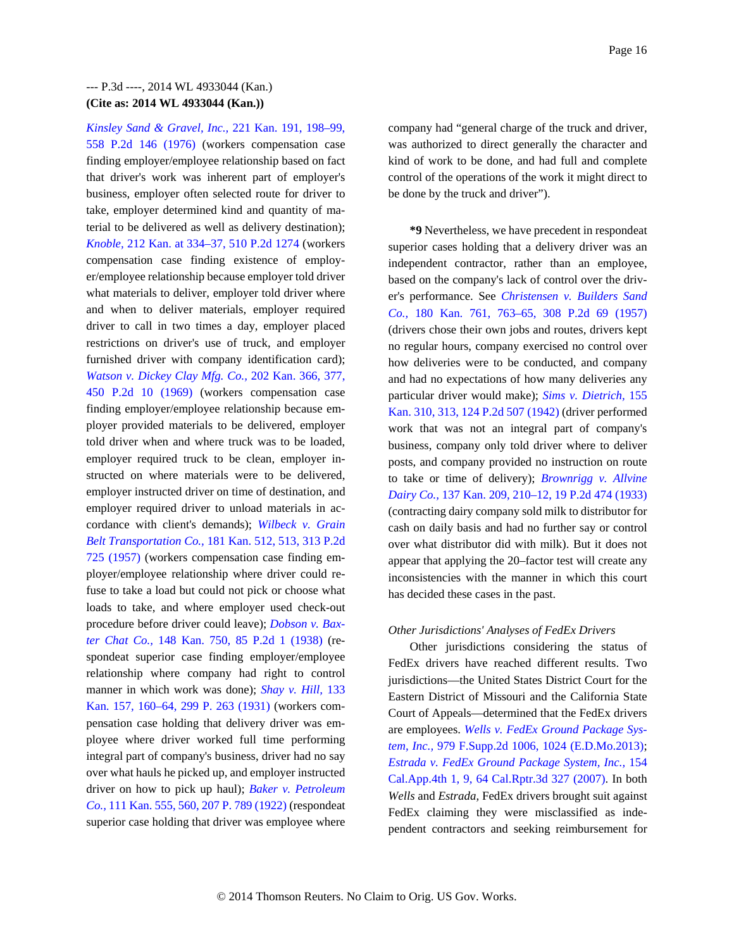*Kinsley Sand & Gravel, Inc.,* 221 Kan. 191, 198–99, 558 P.2d 146 (1976) (workers compensation case finding employer/employee relationship based on fact that driver's work was inherent part of employer's business, employer often selected route for driver to take, employer determined kind and quantity of material to be delivered as well as delivery destination); *Knoble,* 212 Kan. at 334–37, 510 P.2d 1274 (workers compensation case finding existence of employer/employee relationship because employer told driver what materials to deliver, employer told driver where and when to deliver materials, employer required driver to call in two times a day, employer placed restrictions on driver's use of truck, and employer furnished driver with company identification card); *Watson v. Dickey Clay Mfg. Co.,* 202 Kan. 366, 377, 450 P.2d 10 (1969) (workers compensation case finding employer/employee relationship because employer provided materials to be delivered, employer told driver when and where truck was to be loaded, employer required truck to be clean, employer instructed on where materials were to be delivered, employer instructed driver on time of destination, and employer required driver to unload materials in accordance with client's demands); *Wilbeck v. Grain Belt Transportation Co.,* 181 Kan. 512, 513, 313 P.2d 725 (1957) (workers compensation case finding employer/employee relationship where driver could refuse to take a load but could not pick or choose what loads to take, and where employer used check-out procedure before driver could leave); *Dobson v. Baxter Chat Co.,* 148 Kan. 750, 85 P.2d 1 (1938) (respondeat superior case finding employer/employee relationship where company had right to control manner in which work was done); *Shay v. Hill,* 133 Kan. 157, 160–64, 299 P. 263 (1931) (workers compensation case holding that delivery driver was employee where driver worked full time performing integral part of company's business, driver had no say over what hauls he picked up, and employer instructed driver on how to pick up haul); *Baker v. Petroleum Co.,* 111 Kan. 555, 560, 207 P. 789 (1922) (respondeat superior case holding that driver was employee where

company had "general charge of the truck and driver, was authorized to direct generally the character and kind of work to be done, and had full and complete control of the operations of the work it might direct to be done by the truck and driver").

**\*9** Nevertheless, we have precedent in respondeat superior cases holding that a delivery driver was an independent contractor, rather than an employee, based on the company's lack of control over the driver's performance. See *Christensen v. Builders Sand Co.,* 180 Kan. 761, 763–65, 308 P.2d 69 (1957) (drivers chose their own jobs and routes, drivers kept no regular hours, company exercised no control over how deliveries were to be conducted, and company and had no expectations of how many deliveries any particular driver would make); *Sims v. Dietrich,* 155 Kan. 310, 313, 124 P.2d 507 (1942) (driver performed work that was not an integral part of company's business, company only told driver where to deliver posts, and company provided no instruction on route to take or time of delivery); *Brownrigg v. Allvine Dairy Co.,* 137 Kan. 209, 210–12, 19 P.2d 474 (1933) (contracting dairy company sold milk to distributor for cash on daily basis and had no further say or control over what distributor did with milk). But it does not appear that applying the 20–factor test will create any inconsistencies with the manner in which this court has decided these cases in the past.

#### *Other Jurisdictions' Analyses of FedEx Drivers*

Other jurisdictions considering the status of FedEx drivers have reached different results. Two jurisdictions—the United States District Court for the Eastern District of Missouri and the California State Court of Appeals—determined that the FedEx drivers are employees. *Wells v. FedEx Ground Package System, Inc.,* 979 F.Supp.2d 1006, 1024 (E.D.Mo.2013); *Estrada v. FedEx Ground Package System, Inc.,* 154 Cal.App.4th 1, 9, 64 Cal.Rptr.3d 327 (2007). In both *Wells* and *Estrada,* FedEx drivers brought suit against FedEx claiming they were misclassified as independent contractors and seeking reimbursement for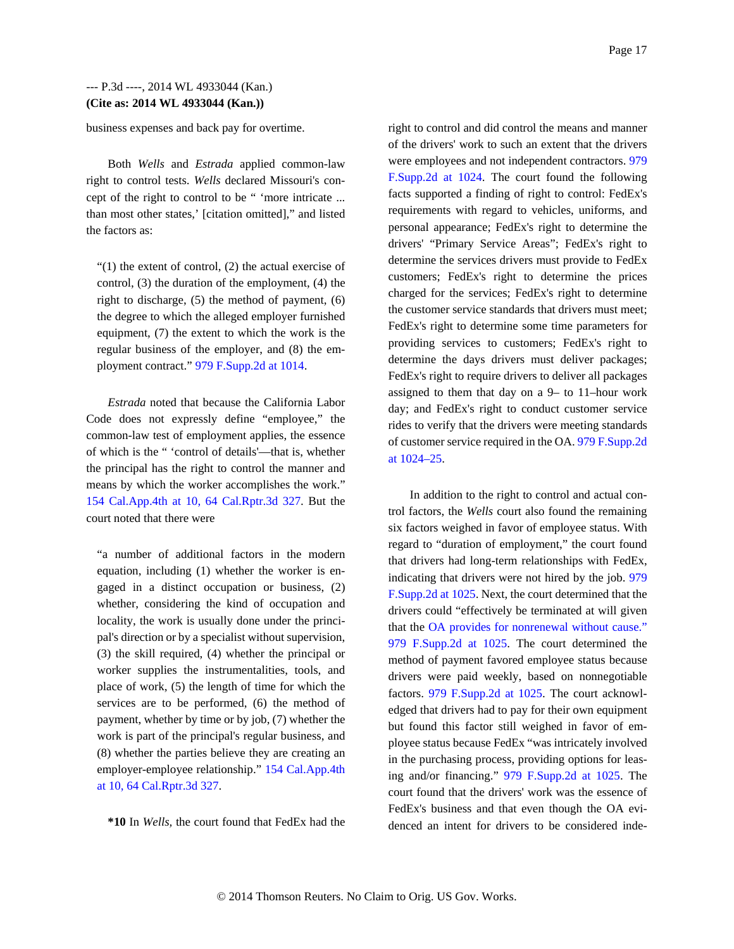business expenses and back pay for overtime.

Both *Wells* and *Estrada* applied common-law right to control tests. *Wells* declared Missouri's concept of the right to control to be " 'more intricate ... than most other states,' [citation omitted]," and listed the factors as:

"(1) the extent of control, (2) the actual exercise of control, (3) the duration of the employment, (4) the right to discharge, (5) the method of payment, (6) the degree to which the alleged employer furnished equipment, (7) the extent to which the work is the regular business of the employer, and (8) the employment contract." 979 F.Supp.2d at 1014.

*Estrada* noted that because the California Labor Code does not expressly define "employee," the common-law test of employment applies, the essence of which is the " 'control of details'—that is, whether the principal has the right to control the manner and means by which the worker accomplishes the work." 154 Cal.App.4th at 10, 64 Cal.Rptr.3d 327. But the court noted that there were

"a number of additional factors in the modern equation, including (1) whether the worker is engaged in a distinct occupation or business, (2) whether, considering the kind of occupation and locality, the work is usually done under the principal's direction or by a specialist without supervision, (3) the skill required, (4) whether the principal or worker supplies the instrumentalities, tools, and place of work, (5) the length of time for which the services are to be performed, (6) the method of payment, whether by time or by job, (7) whether the work is part of the principal's regular business, and (8) whether the parties believe they are creating an employer-employee relationship." 154 Cal.App.4th at 10, 64 Cal.Rptr.3d 327.

**\*10** In *Wells,* the court found that FedEx had the

right to control and did control the means and manner of the drivers' work to such an extent that the drivers were employees and not independent contractors. 979 F.Supp.2d at 1024. The court found the following facts supported a finding of right to control: FedEx's requirements with regard to vehicles, uniforms, and personal appearance; FedEx's right to determine the drivers' "Primary Service Areas"; FedEx's right to determine the services drivers must provide to FedEx customers; FedEx's right to determine the prices charged for the services; FedEx's right to determine the customer service standards that drivers must meet; FedEx's right to determine some time parameters for providing services to customers; FedEx's right to determine the days drivers must deliver packages; FedEx's right to require drivers to deliver all packages assigned to them that day on a 9– to 11–hour work day; and FedEx's right to conduct customer service rides to verify that the drivers were meeting standards of customer service required in the OA. 979 F.Supp.2d at 1024–25.

In addition to the right to control and actual control factors, the *Wells* court also found the remaining six factors weighed in favor of employee status. With regard to "duration of employment," the court found that drivers had long-term relationships with FedEx, indicating that drivers were not hired by the job. 979 F.Supp.2d at 1025. Next, the court determined that the drivers could "effectively be terminated at will given that the OA provides for nonrenewal without cause." 979 F.Supp.2d at 1025. The court determined the method of payment favored employee status because drivers were paid weekly, based on nonnegotiable factors. 979 F.Supp.2d at 1025. The court acknowledged that drivers had to pay for their own equipment but found this factor still weighed in favor of employee status because FedEx "was intricately involved in the purchasing process, providing options for leasing and/or financing." 979 F.Supp.2d at 1025. The court found that the drivers' work was the essence of FedEx's business and that even though the OA evidenced an intent for drivers to be considered inde-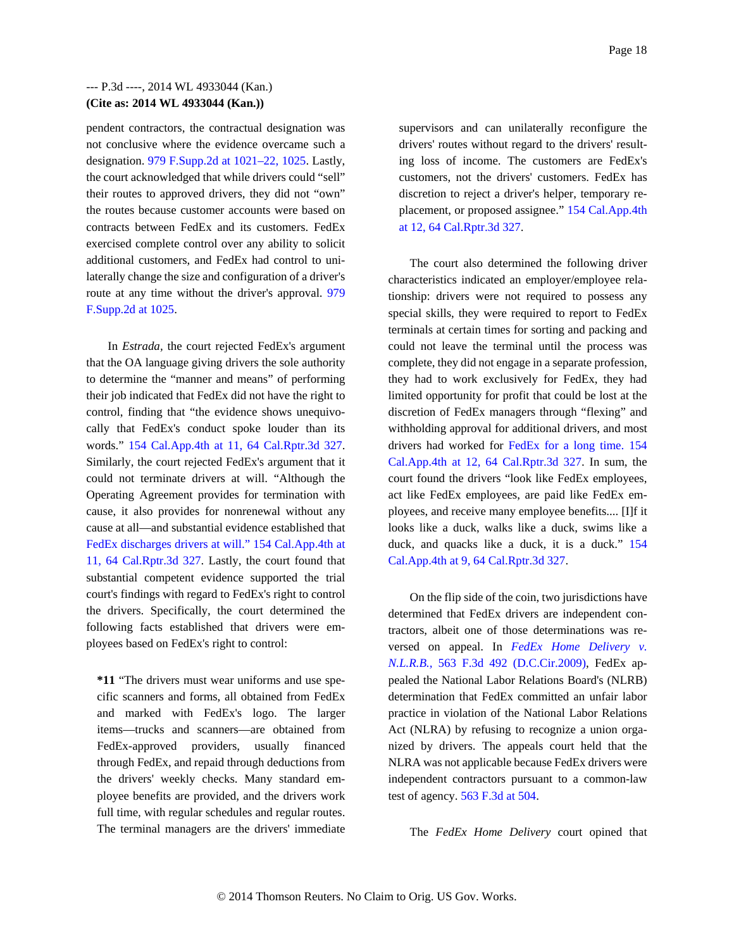pendent contractors, the contractual designation was not conclusive where the evidence overcame such a designation. 979 F.Supp.2d at 1021–22, 1025. Lastly, the court acknowledged that while drivers could "sell" their routes to approved drivers, they did not "own" the routes because customer accounts were based on contracts between FedEx and its customers. FedEx exercised complete control over any ability to solicit additional customers, and FedEx had control to unilaterally change the size and configuration of a driver's route at any time without the driver's approval. 979 F.Supp.2d at 1025.

In *Estrada,* the court rejected FedEx's argument that the OA language giving drivers the sole authority to determine the "manner and means" of performing their job indicated that FedEx did not have the right to control, finding that "the evidence shows unequivocally that FedEx's conduct spoke louder than its words." 154 Cal.App.4th at 11, 64 Cal.Rptr.3d 327. Similarly, the court rejected FedEx's argument that it could not terminate drivers at will. "Although the Operating Agreement provides for termination with cause, it also provides for nonrenewal without any cause at all—and substantial evidence established that FedEx discharges drivers at will." 154 Cal.App.4th at 11, 64 Cal.Rptr.3d 327. Lastly, the court found that substantial competent evidence supported the trial court's findings with regard to FedEx's right to control the drivers. Specifically, the court determined the following facts established that drivers were employees based on FedEx's right to control:

**\*11** "The drivers must wear uniforms and use specific scanners and forms, all obtained from FedEx and marked with FedEx's logo. The larger items—trucks and scanners—are obtained from FedEx-approved providers, usually financed through FedEx, and repaid through deductions from the drivers' weekly checks. Many standard employee benefits are provided, and the drivers work full time, with regular schedules and regular routes. The terminal managers are the drivers' immediate

supervisors and can unilaterally reconfigure the drivers' routes without regard to the drivers' resulting loss of income. The customers are FedEx's customers, not the drivers' customers. FedEx has discretion to reject a driver's helper, temporary replacement, or proposed assignee." 154 Cal.App.4th at 12, 64 Cal.Rptr.3d 327.

The court also determined the following driver characteristics indicated an employer/employee relationship: drivers were not required to possess any special skills, they were required to report to FedEx terminals at certain times for sorting and packing and could not leave the terminal until the process was complete, they did not engage in a separate profession, they had to work exclusively for FedEx, they had limited opportunity for profit that could be lost at the discretion of FedEx managers through "flexing" and withholding approval for additional drivers, and most drivers had worked for FedEx for a long time. 154 Cal.App.4th at 12, 64 Cal.Rptr.3d 327. In sum, the court found the drivers "look like FedEx employees, act like FedEx employees, are paid like FedEx employees, and receive many employee benefits.... [I]f it looks like a duck, walks like a duck, swims like a duck, and quacks like a duck, it is a duck." 154 Cal.App.4th at 9, 64 Cal.Rptr.3d 327.

On the flip side of the coin, two jurisdictions have determined that FedEx drivers are independent contractors, albeit one of those determinations was reversed on appeal. In *FedEx Home Delivery v. N.L.R.B.,* 563 F.3d 492 (D.C.Cir.2009), FedEx appealed the National Labor Relations Board's (NLRB) determination that FedEx committed an unfair labor practice in violation of the National Labor Relations Act (NLRA) by refusing to recognize a union organized by drivers. The appeals court held that the NLRA was not applicable because FedEx drivers were independent contractors pursuant to a common-law test of agency. 563 F.3d at 504.

The *FedEx Home Delivery* court opined that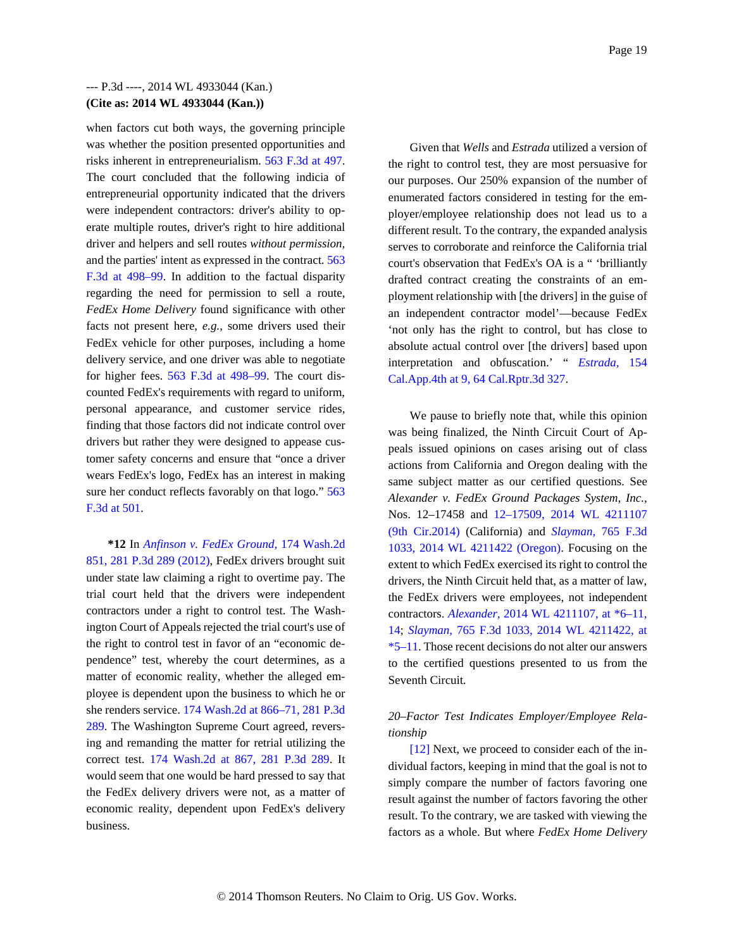when factors cut both ways, the governing principle was whether the position presented opportunities and risks inherent in entrepreneurialism. 563 F.3d at 497. The court concluded that the following indicia of entrepreneurial opportunity indicated that the drivers were independent contractors: driver's ability to operate multiple routes, driver's right to hire additional driver and helpers and sell routes *without permission,* and the parties' intent as expressed in the contract. 563 F.3d at 498–99. In addition to the factual disparity regarding the need for permission to sell a route, *FedEx Home Delivery* found significance with other facts not present here, *e.g.,* some drivers used their FedEx vehicle for other purposes, including a home delivery service, and one driver was able to negotiate for higher fees. 563 F.3d at 498–99. The court discounted FedEx's requirements with regard to uniform, personal appearance, and customer service rides, finding that those factors did not indicate control over drivers but rather they were designed to appease customer safety concerns and ensure that "once a driver wears FedEx's logo, FedEx has an interest in making sure her conduct reflects favorably on that logo." 563 F.3d at 501.

**\*12** In *Anfinson v. FedEx Ground,* 174 Wash.2d 851, 281 P.3d 289 (2012), FedEx drivers brought suit under state law claiming a right to overtime pay. The trial court held that the drivers were independent contractors under a right to control test. The Washington Court of Appeals rejected the trial court's use of the right to control test in favor of an "economic dependence" test, whereby the court determines, as a matter of economic reality, whether the alleged employee is dependent upon the business to which he or she renders service. 174 Wash.2d at 866–71, 281 P.3d 289. The Washington Supreme Court agreed, reversing and remanding the matter for retrial utilizing the correct test. 174 Wash.2d at 867, 281 P.3d 289. It would seem that one would be hard pressed to say that the FedEx delivery drivers were not, as a matter of economic reality, dependent upon FedEx's delivery business.

Given that *Wells* and *Estrada* utilized a version of the right to control test, they are most persuasive for our purposes. Our 250% expansion of the number of enumerated factors considered in testing for the employer/employee relationship does not lead us to a different result. To the contrary, the expanded analysis serves to corroborate and reinforce the California trial court's observation that FedEx's OA is a " 'brilliantly drafted contract creating the constraints of an employment relationship with [the drivers] in the guise of an independent contractor model'—because FedEx 'not only has the right to control, but has close to absolute actual control over [the drivers] based upon interpretation and obfuscation.' " *Estrada,* 154 Cal.App.4th at 9, 64 Cal.Rptr.3d 327.

We pause to briefly note that, while this opinion was being finalized, the Ninth Circuit Court of Appeals issued opinions on cases arising out of class actions from California and Oregon dealing with the same subject matter as our certified questions. See *Alexander v. FedEx Ground Packages System, Inc.,* Nos. 12–17458 and 12–17509, 2014 WL 4211107 (9th Cir.2014) (California) and *Slayman,* 765 F.3d 1033, 2014 WL 4211422 (Oregon). Focusing on the extent to which FedEx exercised its right to control the drivers, the Ninth Circuit held that, as a matter of law, the FedEx drivers were employees, not independent contractors. *Alexander,* 2014 WL 4211107, at \*6–11, 14; *Slayman,* 765 F.3d 1033, 2014 WL 4211422, at \*5–11. Those recent decisions do not alter our answers to the certified questions presented to us from the Seventh Circuit.

## *20–Factor Test Indicates Employer/Employee Relationship*

[12] Next, we proceed to consider each of the individual factors, keeping in mind that the goal is not to simply compare the number of factors favoring one result against the number of factors favoring the other result. To the contrary, we are tasked with viewing the factors as a whole. But where *FedEx Home Delivery*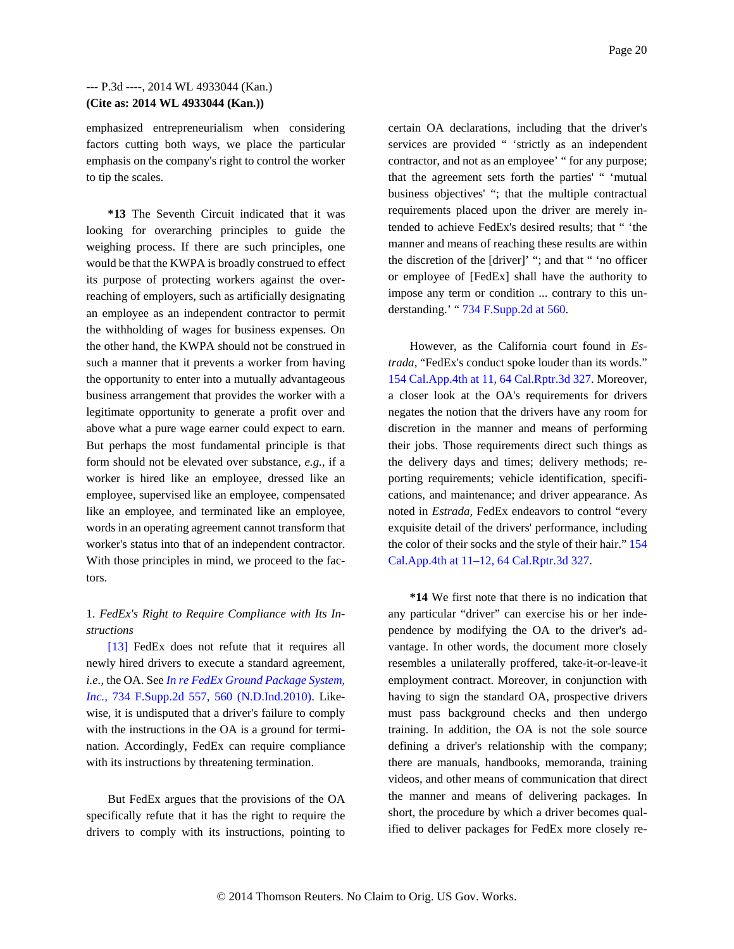emphasized entrepreneurialism when considering factors cutting both ways, we place the particular emphasis on the company's right to control the worker to tip the scales.

**\*13** The Seventh Circuit indicated that it was looking for overarching principles to guide the weighing process. If there are such principles, one would be that the KWPA is broadly construed to effect its purpose of protecting workers against the overreaching of employers, such as artificially designating an employee as an independent contractor to permit the withholding of wages for business expenses. On the other hand, the KWPA should not be construed in such a manner that it prevents a worker from having the opportunity to enter into a mutually advantageous business arrangement that provides the worker with a legitimate opportunity to generate a profit over and above what a pure wage earner could expect to earn. But perhaps the most fundamental principle is that form should not be elevated over substance, *e.g.,* if a worker is hired like an employee, dressed like an employee, supervised like an employee, compensated like an employee, and terminated like an employee, words in an operating agreement cannot transform that worker's status into that of an independent contractor. With those principles in mind, we proceed to the factors.

## 1. *FedEx's Right to Require Compliance with Its Instructions*

[13] FedEx does not refute that it requires all newly hired drivers to execute a standard agreement, *i.e.,* the OA. See *In re FedEx Ground Package System, Inc.,* 734 F.Supp.2d 557, 560 (N.D.Ind.2010). Likewise, it is undisputed that a driver's failure to comply with the instructions in the OA is a ground for termination. Accordingly, FedEx can require compliance with its instructions by threatening termination.

But FedEx argues that the provisions of the OA specifically refute that it has the right to require the drivers to comply with its instructions, pointing to certain OA declarations, including that the driver's services are provided " 'strictly as an independent contractor, and not as an employee' " for any purpose; that the agreement sets forth the parties' " 'mutual business objectives' "; that the multiple contractual requirements placed upon the driver are merely intended to achieve FedEx's desired results; that " 'the manner and means of reaching these results are within the discretion of the [driver]' "; and that " 'no officer or employee of [FedEx] shall have the authority to impose any term or condition ... contrary to this understanding.' " 734 F.Supp.2d at 560.

However, as the California court found in *Estrada,* "FedEx's conduct spoke louder than its words." 154 Cal.App.4th at 11, 64 Cal.Rptr.3d 327. Moreover, a closer look at the OA's requirements for drivers negates the notion that the drivers have any room for discretion in the manner and means of performing their jobs. Those requirements direct such things as the delivery days and times; delivery methods; reporting requirements; vehicle identification, specifications, and maintenance; and driver appearance. As noted in *Estrada,* FedEx endeavors to control "every exquisite detail of the drivers' performance, including the color of their socks and the style of their hair." 154 Cal.App.4th at 11–12, 64 Cal.Rptr.3d 327.

**\*14** We first note that there is no indication that any particular "driver" can exercise his or her independence by modifying the OA to the driver's advantage. In other words, the document more closely resembles a unilaterally proffered, take-it-or-leave-it employment contract. Moreover, in conjunction with having to sign the standard OA, prospective drivers must pass background checks and then undergo training. In addition, the OA is not the sole source defining a driver's relationship with the company; there are manuals, handbooks, memoranda, training videos, and other means of communication that direct the manner and means of delivering packages. In short, the procedure by which a driver becomes qualified to deliver packages for FedEx more closely re-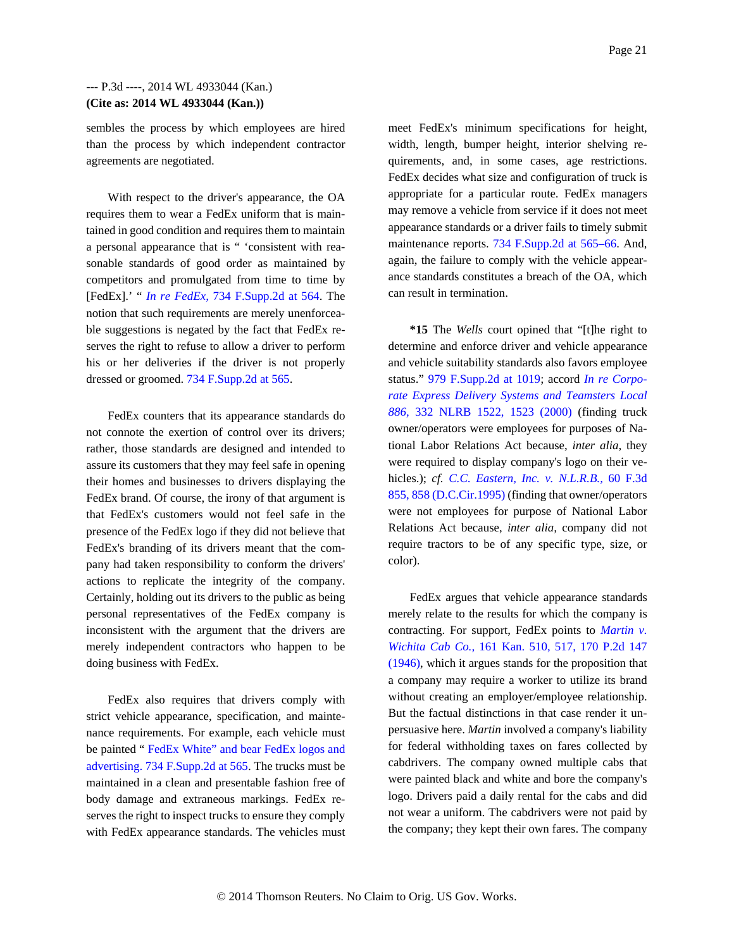sembles the process by which employees are hired than the process by which independent contractor agreements are negotiated.

With respect to the driver's appearance, the OA requires them to wear a FedEx uniform that is maintained in good condition and requires them to maintain a personal appearance that is " 'consistent with reasonable standards of good order as maintained by competitors and promulgated from time to time by [FedEx].' " *In re FedEx,* 734 F.Supp.2d at 564. The notion that such requirements are merely unenforceable suggestions is negated by the fact that FedEx reserves the right to refuse to allow a driver to perform his or her deliveries if the driver is not properly dressed or groomed. 734 F.Supp.2d at 565.

FedEx counters that its appearance standards do not connote the exertion of control over its drivers; rather, those standards are designed and intended to assure its customers that they may feel safe in opening their homes and businesses to drivers displaying the FedEx brand. Of course, the irony of that argument is that FedEx's customers would not feel safe in the presence of the FedEx logo if they did not believe that FedEx's branding of its drivers meant that the company had taken responsibility to conform the drivers' actions to replicate the integrity of the company. Certainly, holding out its drivers to the public as being personal representatives of the FedEx company is inconsistent with the argument that the drivers are merely independent contractors who happen to be doing business with FedEx.

FedEx also requires that drivers comply with strict vehicle appearance, specification, and maintenance requirements. For example, each vehicle must be painted " FedEx White" and bear FedEx logos and advertising. 734 F.Supp.2d at 565. The trucks must be maintained in a clean and presentable fashion free of body damage and extraneous markings. FedEx reserves the right to inspect trucks to ensure they comply with FedEx appearance standards. The vehicles must meet FedEx's minimum specifications for height, width, length, bumper height, interior shelving requirements, and, in some cases, age restrictions. FedEx decides what size and configuration of truck is appropriate for a particular route. FedEx managers may remove a vehicle from service if it does not meet appearance standards or a driver fails to timely submit maintenance reports. 734 F.Supp.2d at 565–66. And, again, the failure to comply with the vehicle appearance standards constitutes a breach of the OA, which can result in termination.

**\*15** The *Wells* court opined that "[t]he right to determine and enforce driver and vehicle appearance and vehicle suitability standards also favors employee status." 979 F.Supp.2d at 1019; accord *In re Corporate Express Delivery Systems and Teamsters Local 886,* 332 NLRB 1522, 1523 (2000) (finding truck owner/operators were employees for purposes of National Labor Relations Act because, *inter alia,* they were required to display company's logo on their vehicles.); *cf. C.C. Eastern, Inc. v. N.L.R.B.,* 60 F.3d 855, 858 (D.C.Cir.1995) (finding that owner/operators were not employees for purpose of National Labor Relations Act because, *inter alia,* company did not require tractors to be of any specific type, size, or color).

FedEx argues that vehicle appearance standards merely relate to the results for which the company is contracting. For support, FedEx points to *Martin v. Wichita Cab Co.,* 161 Kan. 510, 517, 170 P.2d 147 (1946), which it argues stands for the proposition that a company may require a worker to utilize its brand without creating an employer/employee relationship. But the factual distinctions in that case render it unpersuasive here. *Martin* involved a company's liability for federal withholding taxes on fares collected by cabdrivers. The company owned multiple cabs that were painted black and white and bore the company's logo. Drivers paid a daily rental for the cabs and did not wear a uniform. The cabdrivers were not paid by the company; they kept their own fares. The company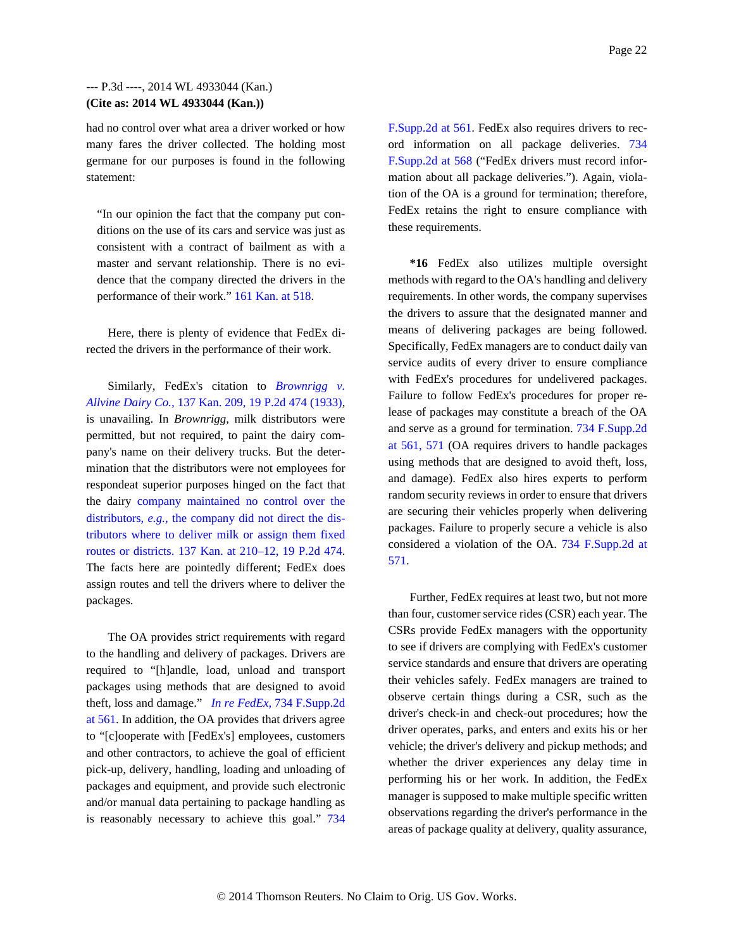had no control over what area a driver worked or how many fares the driver collected. The holding most germane for our purposes is found in the following statement:

"In our opinion the fact that the company put conditions on the use of its cars and service was just as consistent with a contract of bailment as with a master and servant relationship. There is no evidence that the company directed the drivers in the performance of their work." 161 Kan. at 518.

Here, there is plenty of evidence that FedEx directed the drivers in the performance of their work.

Similarly, FedEx's citation to *Brownrigg v. Allvine Dairy Co.,* 137 Kan. 209, 19 P.2d 474 (1933), is unavailing. In *Brownrigg,* milk distributors were permitted, but not required, to paint the dairy company's name on their delivery trucks. But the determination that the distributors were not employees for respondeat superior purposes hinged on the fact that the dairy company maintained no control over the distributors, *e.g.,* the company did not direct the distributors where to deliver milk or assign them fixed routes or districts. 137 Kan. at 210–12, 19 P.2d 474. The facts here are pointedly different; FedEx does assign routes and tell the drivers where to deliver the packages.

The OA provides strict requirements with regard to the handling and delivery of packages. Drivers are required to "[h]andle, load, unload and transport packages using methods that are designed to avoid theft, loss and damage." *In re FedEx,* 734 F.Supp.2d at 561. In addition, the OA provides that drivers agree to "[c]ooperate with [FedEx's] employees, customers and other contractors, to achieve the goal of efficient pick-up, delivery, handling, loading and unloading of packages and equipment, and provide such electronic and/or manual data pertaining to package handling as is reasonably necessary to achieve this goal." 734 F.Supp.2d at 561. FedEx also requires drivers to record information on all package deliveries. 734 F.Supp.2d at 568 ("FedEx drivers must record information about all package deliveries."). Again, violation of the OA is a ground for termination; therefore, FedEx retains the right to ensure compliance with these requirements.

**\*16** FedEx also utilizes multiple oversight methods with regard to the OA's handling and delivery requirements. In other words, the company supervises the drivers to assure that the designated manner and means of delivering packages are being followed. Specifically, FedEx managers are to conduct daily van service audits of every driver to ensure compliance with FedEx's procedures for undelivered packages. Failure to follow FedEx's procedures for proper release of packages may constitute a breach of the OA and serve as a ground for termination. 734 F.Supp.2d at 561, 571 (OA requires drivers to handle packages using methods that are designed to avoid theft, loss, and damage). FedEx also hires experts to perform random security reviews in order to ensure that drivers are securing their vehicles properly when delivering packages. Failure to properly secure a vehicle is also considered a violation of the OA. 734 F.Supp.2d at 571.

Further, FedEx requires at least two, but not more than four, customer service rides (CSR) each year. The CSRs provide FedEx managers with the opportunity to see if drivers are complying with FedEx's customer service standards and ensure that drivers are operating their vehicles safely. FedEx managers are trained to observe certain things during a CSR, such as the driver's check-in and check-out procedures; how the driver operates, parks, and enters and exits his or her vehicle; the driver's delivery and pickup methods; and whether the driver experiences any delay time in performing his or her work. In addition, the FedEx manager is supposed to make multiple specific written observations regarding the driver's performance in the areas of package quality at delivery, quality assurance,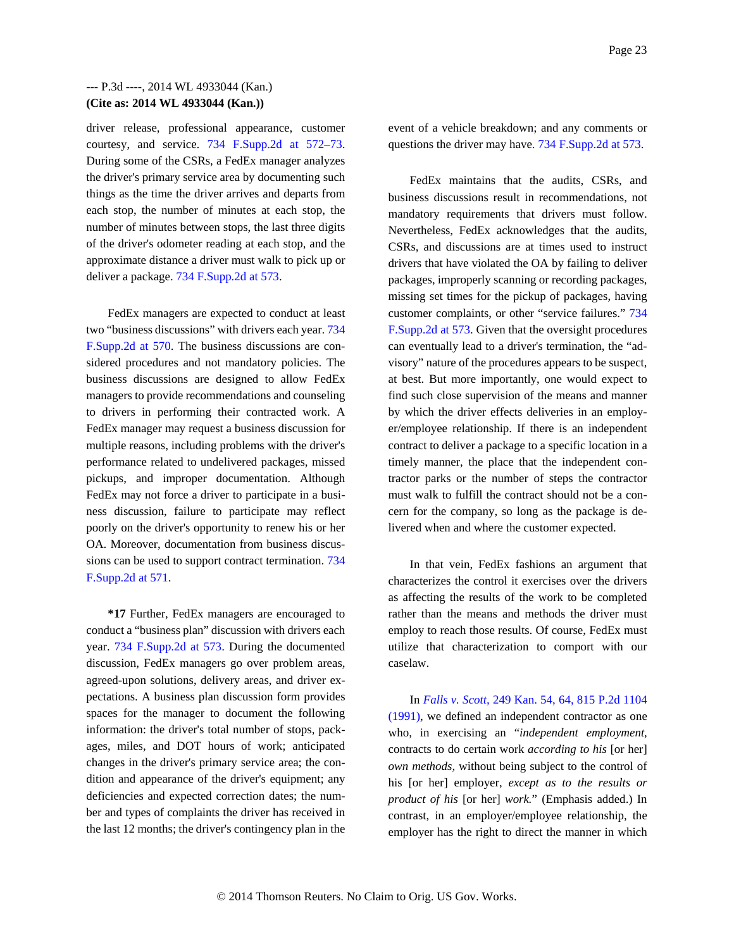driver release, professional appearance, customer courtesy, and service. 734 F.Supp.2d at 572–73. During some of the CSRs, a FedEx manager analyzes the driver's primary service area by documenting such things as the time the driver arrives and departs from each stop, the number of minutes at each stop, the number of minutes between stops, the last three digits of the driver's odometer reading at each stop, and the approximate distance a driver must walk to pick up or deliver a package. 734 F.Supp.2d at 573.

FedEx managers are expected to conduct at least two "business discussions" with drivers each year. 734 F.Supp.2d at 570. The business discussions are considered procedures and not mandatory policies. The business discussions are designed to allow FedEx managers to provide recommendations and counseling to drivers in performing their contracted work. A FedEx manager may request a business discussion for multiple reasons, including problems with the driver's performance related to undelivered packages, missed pickups, and improper documentation. Although FedEx may not force a driver to participate in a business discussion, failure to participate may reflect poorly on the driver's opportunity to renew his or her OA. Moreover, documentation from business discussions can be used to support contract termination. 734 F.Supp.2d at 571.

**\*17** Further, FedEx managers are encouraged to conduct a "business plan" discussion with drivers each year. 734 F.Supp.2d at 573. During the documented discussion, FedEx managers go over problem areas, agreed-upon solutions, delivery areas, and driver expectations. A business plan discussion form provides spaces for the manager to document the following information: the driver's total number of stops, packages, miles, and DOT hours of work; anticipated changes in the driver's primary service area; the condition and appearance of the driver's equipment; any deficiencies and expected correction dates; the number and types of complaints the driver has received in the last 12 months; the driver's contingency plan in the event of a vehicle breakdown; and any comments or questions the driver may have. 734 F.Supp.2d at 573.

FedEx maintains that the audits, CSRs, and business discussions result in recommendations, not mandatory requirements that drivers must follow. Nevertheless, FedEx acknowledges that the audits, CSRs, and discussions are at times used to instruct drivers that have violated the OA by failing to deliver packages, improperly scanning or recording packages, missing set times for the pickup of packages, having customer complaints, or other "service failures." 734 F.Supp.2d at 573. Given that the oversight procedures can eventually lead to a driver's termination, the "advisory" nature of the procedures appears to be suspect, at best. But more importantly, one would expect to find such close supervision of the means and manner by which the driver effects deliveries in an employer/employee relationship. If there is an independent contract to deliver a package to a specific location in a timely manner, the place that the independent contractor parks or the number of steps the contractor must walk to fulfill the contract should not be a concern for the company, so long as the package is delivered when and where the customer expected.

In that vein, FedEx fashions an argument that characterizes the control it exercises over the drivers as affecting the results of the work to be completed rather than the means and methods the driver must employ to reach those results. Of course, FedEx must utilize that characterization to comport with our caselaw.

In *Falls v. Scott,* 249 Kan. 54, 64, 815 P.2d 1104 (1991), we defined an independent contractor as one who, in exercising an "*independent employment,* contracts to do certain work *according to his* [or her] *own methods,* without being subject to the control of his [or her] employer, *except as to the results or product of his* [or her] *work.*" (Emphasis added.) In contrast, in an employer/employee relationship, the employer has the right to direct the manner in which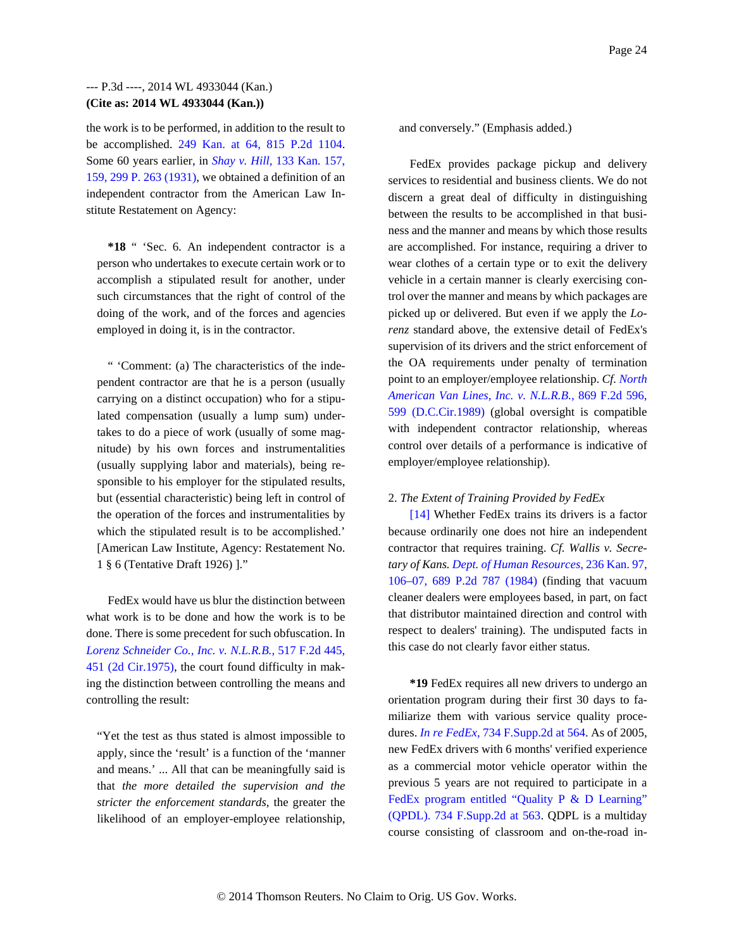the work is to be performed, in addition to the result to be accomplished. 249 Kan. at 64, 815 P.2d 1104. Some 60 years earlier, in *Shay v. Hill,* 133 Kan. 157, 159, 299 P. 263 (1931), we obtained a definition of an independent contractor from the American Law Institute Restatement on Agency:

**\*18** " 'Sec. 6. An independent contractor is a person who undertakes to execute certain work or to accomplish a stipulated result for another, under such circumstances that the right of control of the doing of the work, and of the forces and agencies employed in doing it, is in the contractor.

" 'Comment: (a) The characteristics of the independent contractor are that he is a person (usually carrying on a distinct occupation) who for a stipulated compensation (usually a lump sum) undertakes to do a piece of work (usually of some magnitude) by his own forces and instrumentalities (usually supplying labor and materials), being responsible to his employer for the stipulated results, but (essential characteristic) being left in control of the operation of the forces and instrumentalities by which the stipulated result is to be accomplished.' [American Law Institute, Agency: Restatement No. 1 § 6 (Tentative Draft 1926) ]."

FedEx would have us blur the distinction between what work is to be done and how the work is to be done. There is some precedent for such obfuscation. In *Lorenz Schneider Co., Inc. v. N.L.R.B.,* 517 F.2d 445, 451 (2d Cir.1975), the court found difficulty in making the distinction between controlling the means and controlling the result:

"Yet the test as thus stated is almost impossible to apply, since the 'result' is a function of the 'manner and means.' ... All that can be meaningfully said is that *the more detailed the supervision and the stricter the enforcement standards,* the greater the likelihood of an employer-employee relationship,

and conversely." (Emphasis added.)

FedEx provides package pickup and delivery services to residential and business clients. We do not discern a great deal of difficulty in distinguishing between the results to be accomplished in that business and the manner and means by which those results are accomplished. For instance, requiring a driver to wear clothes of a certain type or to exit the delivery vehicle in a certain manner is clearly exercising control over the manner and means by which packages are picked up or delivered. But even if we apply the *Lorenz* standard above, the extensive detail of FedEx's supervision of its drivers and the strict enforcement of the OA requirements under penalty of termination point to an employer/employee relationship. *Cf. North American Van Lines, Inc. v. N.L.R.B.,* 869 F.2d 596, 599 (D.C.Cir.1989) (global oversight is compatible with independent contractor relationship, whereas control over details of a performance is indicative of employer/employee relationship).

#### 2. *The Extent of Training Provided by FedEx*

[14] Whether FedEx trains its drivers is a factor because ordinarily one does not hire an independent contractor that requires training. *Cf. Wallis v. Secretary of Kans. Dept. of Human Resources,* 236 Kan. 97, 106–07, 689 P.2d 787 (1984) (finding that vacuum cleaner dealers were employees based, in part, on fact that distributor maintained direction and control with respect to dealers' training). The undisputed facts in this case do not clearly favor either status.

**\*19** FedEx requires all new drivers to undergo an orientation program during their first 30 days to familiarize them with various service quality procedures. *In re FedEx,* 734 F.Supp.2d at 564. As of 2005, new FedEx drivers with 6 months' verified experience as a commercial motor vehicle operator within the previous 5 years are not required to participate in a FedEx program entitled "Quality P & D Learning" (QPDL). 734 F.Supp.2d at 563. QDPL is a multiday course consisting of classroom and on-the-road in-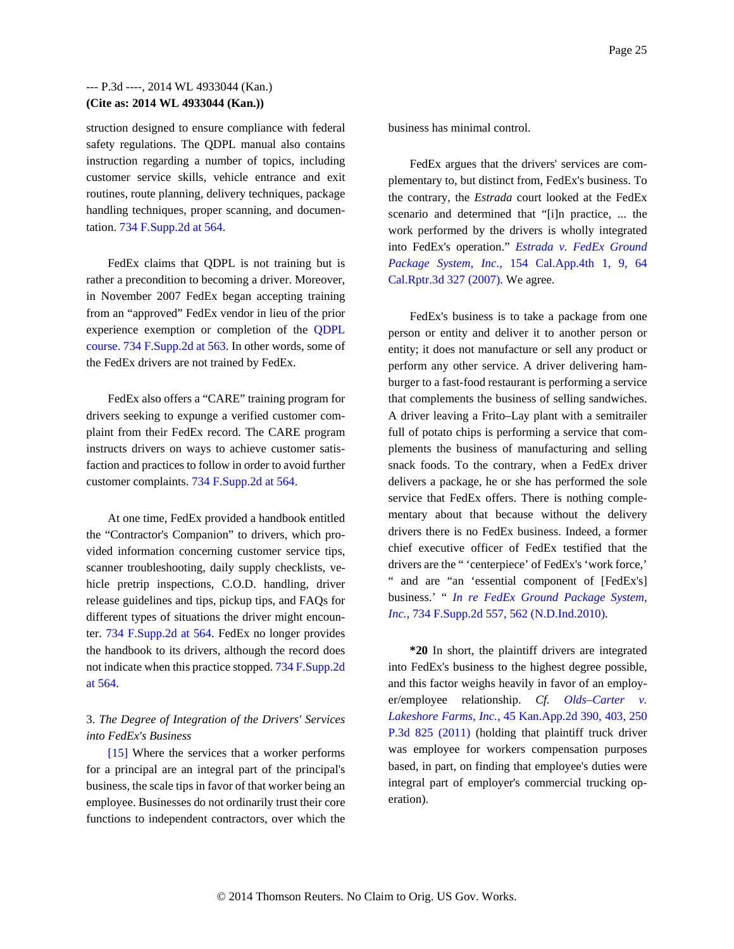struction designed to ensure compliance with federal safety regulations. The QDPL manual also contains instruction regarding a number of topics, including customer service skills, vehicle entrance and exit routines, route planning, delivery techniques, package handling techniques, proper scanning, and documentation. 734 F.Supp.2d at 564.

FedEx claims that QDPL is not training but is rather a precondition to becoming a driver. Moreover, in November 2007 FedEx began accepting training from an "approved" FedEx vendor in lieu of the prior experience exemption or completion of the QDPL course. 734 F.Supp.2d at 563. In other words, some of the FedEx drivers are not trained by FedEx.

FedEx also offers a "CARE" training program for drivers seeking to expunge a verified customer complaint from their FedEx record. The CARE program instructs drivers on ways to achieve customer satisfaction and practices to follow in order to avoid further customer complaints. 734 F.Supp.2d at 564.

At one time, FedEx provided a handbook entitled the "Contractor's Companion" to drivers, which provided information concerning customer service tips, scanner troubleshooting, daily supply checklists, vehicle pretrip inspections, C.O.D. handling, driver release guidelines and tips, pickup tips, and FAQs for different types of situations the driver might encounter. 734 F.Supp.2d at 564. FedEx no longer provides the handbook to its drivers, although the record does not indicate when this practice stopped. 734 F.Supp.2d at 564.

# 3. *The Degree of Integration of the Drivers' Services into FedEx's Business*

[15] Where the services that a worker performs for a principal are an integral part of the principal's business, the scale tips in favor of that worker being an employee. Businesses do not ordinarily trust their core functions to independent contractors, over which the

business has minimal control.

FedEx argues that the drivers' services are complementary to, but distinct from, FedEx's business. To the contrary, the *Estrada* court looked at the FedEx scenario and determined that "[i]n practice, ... the work performed by the drivers is wholly integrated into FedEx's operation." *Estrada v. FedEx Ground Package System, Inc.,* 154 Cal.App.4th 1, 9, 64 Cal.Rptr.3d 327 (2007). We agree.

FedEx's business is to take a package from one person or entity and deliver it to another person or entity; it does not manufacture or sell any product or perform any other service. A driver delivering hamburger to a fast-food restaurant is performing a service that complements the business of selling sandwiches. A driver leaving a Frito–Lay plant with a semitrailer full of potato chips is performing a service that complements the business of manufacturing and selling snack foods. To the contrary, when a FedEx driver delivers a package, he or she has performed the sole service that FedEx offers. There is nothing complementary about that because without the delivery drivers there is no FedEx business. Indeed, a former chief executive officer of FedEx testified that the drivers are the " 'centerpiece' of FedEx's 'work force,' " and are "an 'essential component of [FedEx's] business.' " *In re FedEx Ground Package System, Inc.,* 734 F.Supp.2d 557, 562 (N.D.Ind.2010).

**\*20** In short, the plaintiff drivers are integrated into FedEx's business to the highest degree possible, and this factor weighs heavily in favor of an employer/employee relationship. *Cf. Olds–Carter v. Lakeshore Farms, Inc.,* 45 Kan.App.2d 390, 403, 250 P.3d 825 (2011) (holding that plaintiff truck driver was employee for workers compensation purposes based, in part, on finding that employee's duties were integral part of employer's commercial trucking operation).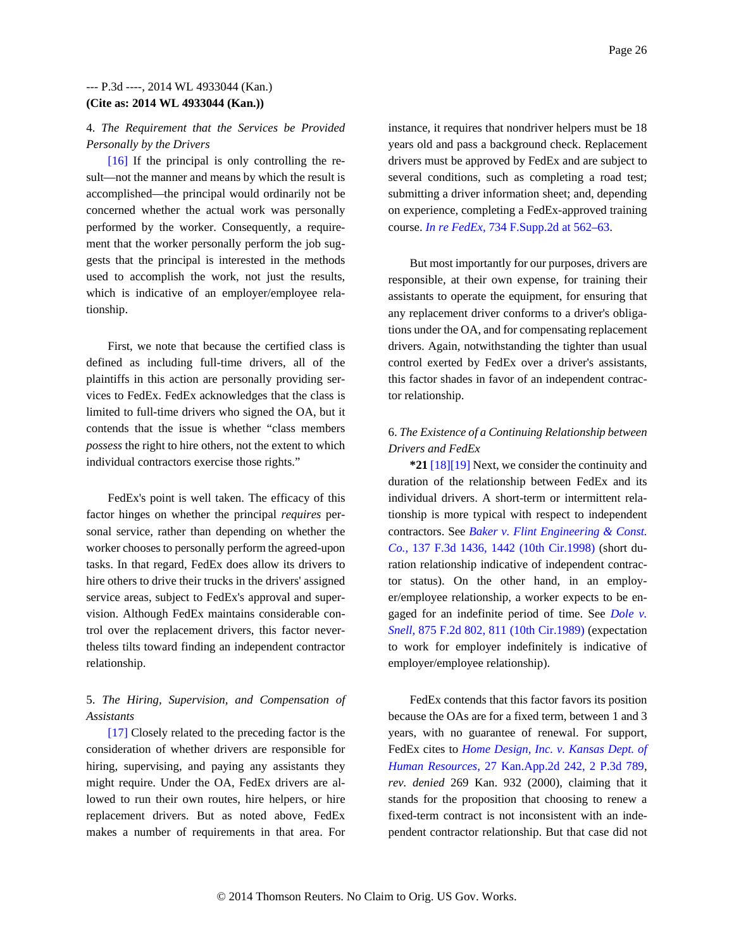### 4. *The Requirement that the Services be Provided Personally by the Drivers*

[16] If the principal is only controlling the result—not the manner and means by which the result is accomplished—the principal would ordinarily not be concerned whether the actual work was personally performed by the worker. Consequently, a requirement that the worker personally perform the job suggests that the principal is interested in the methods used to accomplish the work, not just the results, which is indicative of an employer/employee relationship.

First, we note that because the certified class is defined as including full-time drivers, all of the plaintiffs in this action are personally providing services to FedEx. FedEx acknowledges that the class is limited to full-time drivers who signed the OA, but it contends that the issue is whether "class members *possess* the right to hire others, not the extent to which individual contractors exercise those rights."

FedEx's point is well taken. The efficacy of this factor hinges on whether the principal *requires* personal service, rather than depending on whether the worker chooses to personally perform the agreed-upon tasks. In that regard, FedEx does allow its drivers to hire others to drive their trucks in the drivers' assigned service areas, subject to FedEx's approval and supervision. Although FedEx maintains considerable control over the replacement drivers, this factor nevertheless tilts toward finding an independent contractor relationship.

# 5. *The Hiring, Supervision, and Compensation of Assistants*

[17] Closely related to the preceding factor is the consideration of whether drivers are responsible for hiring, supervising, and paying any assistants they might require. Under the OA, FedEx drivers are allowed to run their own routes, hire helpers, or hire replacement drivers. But as noted above, FedEx makes a number of requirements in that area. For instance, it requires that nondriver helpers must be 18 years old and pass a background check. Replacement drivers must be approved by FedEx and are subject to several conditions, such as completing a road test; submitting a driver information sheet; and, depending on experience, completing a FedEx-approved training course. *In re FedEx,* 734 F.Supp.2d at 562–63.

But most importantly for our purposes, drivers are responsible, at their own expense, for training their assistants to operate the equipment, for ensuring that any replacement driver conforms to a driver's obligations under the OA, and for compensating replacement drivers. Again, notwithstanding the tighter than usual control exerted by FedEx over a driver's assistants, this factor shades in favor of an independent contractor relationship.

# 6. *The Existence of a Continuing Relationship between Drivers and FedEx*

**\*21** [18][19] Next, we consider the continuity and duration of the relationship between FedEx and its individual drivers. A short-term or intermittent relationship is more typical with respect to independent contractors. See *Baker v. Flint Engineering & Const. Co.,* 137 F.3d 1436, 1442 (10th Cir.1998) (short duration relationship indicative of independent contractor status). On the other hand, in an employer/employee relationship, a worker expects to be engaged for an indefinite period of time. See *Dole v. Snell,* 875 F.2d 802, 811 (10th Cir.1989) (expectation to work for employer indefinitely is indicative of employer/employee relationship).

FedEx contends that this factor favors its position because the OAs are for a fixed term, between 1 and 3 years, with no guarantee of renewal. For support, FedEx cites to *Home Design, Inc. v. Kansas Dept. of Human Resources,* 27 Kan.App.2d 242, 2 P.3d 789, *rev. denied* 269 Kan. 932 (2000), claiming that it stands for the proposition that choosing to renew a fixed-term contract is not inconsistent with an independent contractor relationship. But that case did not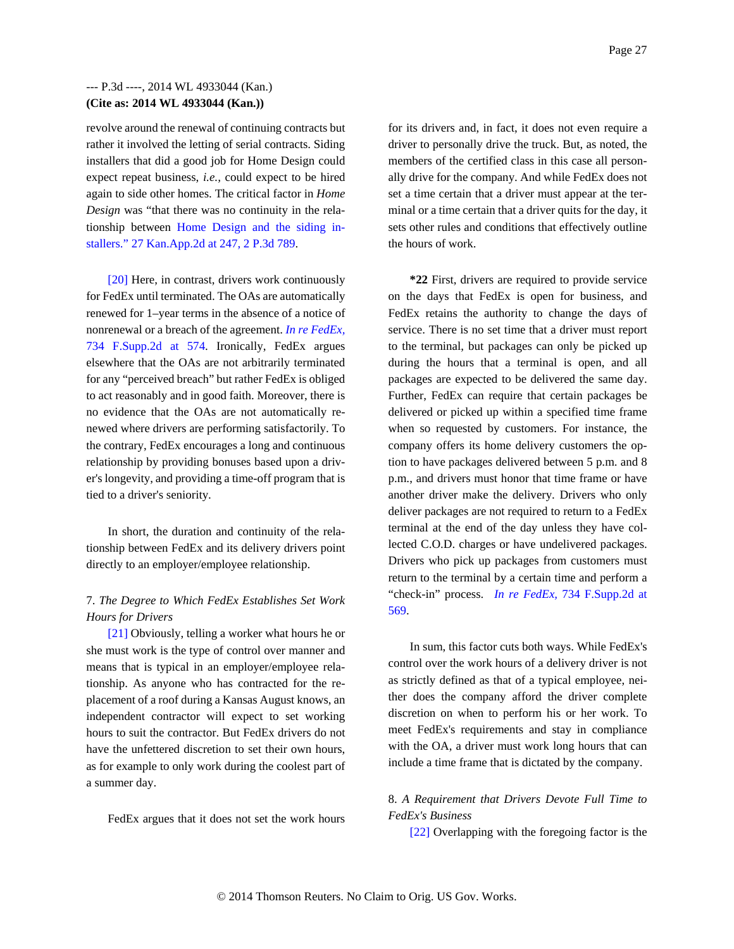revolve around the renewal of continuing contracts but rather it involved the letting of serial contracts. Siding installers that did a good job for Home Design could expect repeat business, *i.e.,* could expect to be hired again to side other homes. The critical factor in *Home Design* was "that there was no continuity in the relationship between Home Design and the siding installers." 27 Kan.App.2d at 247, 2 P.3d 789.

[20] Here, in contrast, drivers work continuously for FedEx until terminated. The OAs are automatically renewed for 1–year terms in the absence of a notice of nonrenewal or a breach of the agreement. *In re FedEx,* 734 F.Supp.2d at 574. Ironically, FedEx argues elsewhere that the OAs are not arbitrarily terminated for any "perceived breach" but rather FedEx is obliged to act reasonably and in good faith. Moreover, there is no evidence that the OAs are not automatically renewed where drivers are performing satisfactorily. To the contrary, FedEx encourages a long and continuous relationship by providing bonuses based upon a driver's longevity, and providing a time-off program that is tied to a driver's seniority.

In short, the duration and continuity of the relationship between FedEx and its delivery drivers point directly to an employer/employee relationship.

# 7. *The Degree to Which FedEx Establishes Set Work Hours for Drivers*

[21] Obviously, telling a worker what hours he or she must work is the type of control over manner and means that is typical in an employer/employee relationship. As anyone who has contracted for the replacement of a roof during a Kansas August knows, an independent contractor will expect to set working hours to suit the contractor. But FedEx drivers do not have the unfettered discretion to set their own hours, as for example to only work during the coolest part of a summer day.

FedEx argues that it does not set the work hours

for its drivers and, in fact, it does not even require a driver to personally drive the truck. But, as noted, the members of the certified class in this case all personally drive for the company. And while FedEx does not set a time certain that a driver must appear at the terminal or a time certain that a driver quits for the day, it sets other rules and conditions that effectively outline the hours of work.

**\*22** First, drivers are required to provide service on the days that FedEx is open for business, and FedEx retains the authority to change the days of service. There is no set time that a driver must report to the terminal, but packages can only be picked up during the hours that a terminal is open, and all packages are expected to be delivered the same day. Further, FedEx can require that certain packages be delivered or picked up within a specified time frame when so requested by customers. For instance, the company offers its home delivery customers the option to have packages delivered between 5 p.m. and 8 p.m., and drivers must honor that time frame or have another driver make the delivery. Drivers who only deliver packages are not required to return to a FedEx terminal at the end of the day unless they have collected C.O.D. charges or have undelivered packages. Drivers who pick up packages from customers must return to the terminal by a certain time and perform a "check-in" process. *In re FedEx,* 734 F.Supp.2d at 569.

In sum, this factor cuts both ways. While FedEx's control over the work hours of a delivery driver is not as strictly defined as that of a typical employee, neither does the company afford the driver complete discretion on when to perform his or her work. To meet FedEx's requirements and stay in compliance with the OA, a driver must work long hours that can include a time frame that is dictated by the company.

# 8. *A Requirement that Drivers Devote Full Time to FedEx's Business*

[22] Overlapping with the foregoing factor is the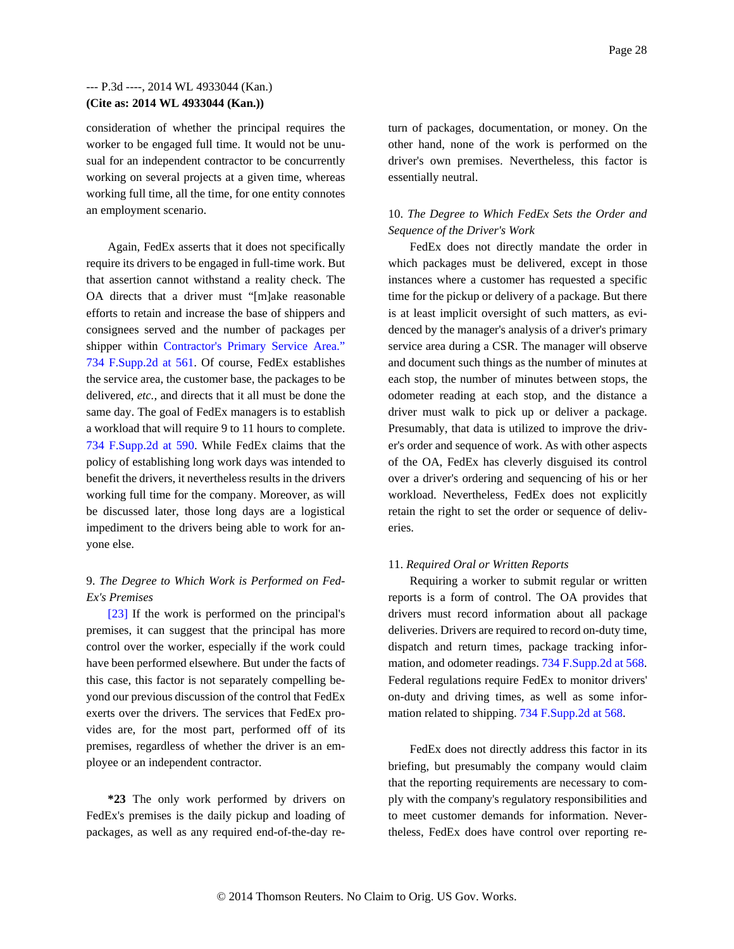consideration of whether the principal requires the worker to be engaged full time. It would not be unusual for an independent contractor to be concurrently working on several projects at a given time, whereas working full time, all the time, for one entity connotes an employment scenario.

Again, FedEx asserts that it does not specifically require its drivers to be engaged in full-time work. But that assertion cannot withstand a reality check. The OA directs that a driver must "[m]ake reasonable efforts to retain and increase the base of shippers and consignees served and the number of packages per shipper within Contractor's Primary Service Area." 734 F.Supp.2d at 561. Of course, FedEx establishes the service area, the customer base, the packages to be delivered, *etc.,* and directs that it all must be done the same day. The goal of FedEx managers is to establish a workload that will require 9 to 11 hours to complete. 734 F.Supp.2d at 590. While FedEx claims that the policy of establishing long work days was intended to benefit the drivers, it nevertheless results in the drivers working full time for the company. Moreover, as will be discussed later, those long days are a logistical impediment to the drivers being able to work for anyone else.

# 9. *The Degree to Which Work is Performed on Fed-Ex's Premises*

[23] If the work is performed on the principal's premises, it can suggest that the principal has more control over the worker, especially if the work could have been performed elsewhere. But under the facts of this case, this factor is not separately compelling beyond our previous discussion of the control that FedEx exerts over the drivers. The services that FedEx provides are, for the most part, performed off of its premises, regardless of whether the driver is an employee or an independent contractor.

**\*23** The only work performed by drivers on FedEx's premises is the daily pickup and loading of packages, as well as any required end-of-the-day return of packages, documentation, or money. On the other hand, none of the work is performed on the driver's own premises. Nevertheless, this factor is essentially neutral.

# 10. *The Degree to Which FedEx Sets the Order and Sequence of the Driver's Work*

FedEx does not directly mandate the order in which packages must be delivered, except in those instances where a customer has requested a specific time for the pickup or delivery of a package. But there is at least implicit oversight of such matters, as evidenced by the manager's analysis of a driver's primary service area during a CSR. The manager will observe and document such things as the number of minutes at each stop, the number of minutes between stops, the odometer reading at each stop, and the distance a driver must walk to pick up or deliver a package. Presumably, that data is utilized to improve the driver's order and sequence of work. As with other aspects of the OA, FedEx has cleverly disguised its control over a driver's ordering and sequencing of his or her workload. Nevertheless, FedEx does not explicitly retain the right to set the order or sequence of deliveries.

### 11. *Required Oral or Written Reports*

Requiring a worker to submit regular or written reports is a form of control. The OA provides that drivers must record information about all package deliveries. Drivers are required to record on-duty time, dispatch and return times, package tracking information, and odometer readings. 734 F.Supp.2d at 568. Federal regulations require FedEx to monitor drivers' on-duty and driving times, as well as some information related to shipping. 734 F.Supp.2d at 568.

FedEx does not directly address this factor in its briefing, but presumably the company would claim that the reporting requirements are necessary to comply with the company's regulatory responsibilities and to meet customer demands for information. Nevertheless, FedEx does have control over reporting re-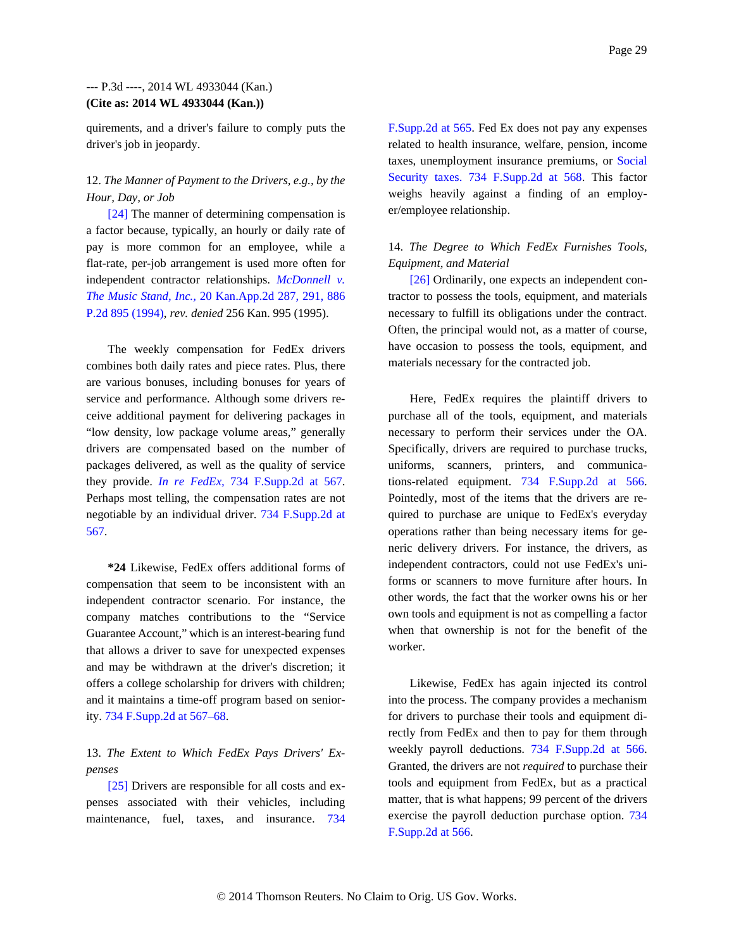quirements, and a driver's failure to comply puts the driver's job in jeopardy.

# 12. *The Manner of Payment to the Drivers, e.g., by the Hour, Day, or Job*

[24] The manner of determining compensation is a factor because, typically, an hourly or daily rate of pay is more common for an employee, while a flat-rate, per-job arrangement is used more often for independent contractor relationships. *McDonnell v. The Music Stand, Inc.,* 20 Kan.App.2d 287, 291, 886 P.2d 895 (1994), *rev. denied* 256 Kan. 995 (1995).

The weekly compensation for FedEx drivers combines both daily rates and piece rates. Plus, there are various bonuses, including bonuses for years of service and performance. Although some drivers receive additional payment for delivering packages in "low density, low package volume areas," generally drivers are compensated based on the number of packages delivered, as well as the quality of service they provide. *In re FedEx,* 734 F.Supp.2d at 567. Perhaps most telling, the compensation rates are not negotiable by an individual driver. 734 F.Supp.2d at 567.

**\*24** Likewise, FedEx offers additional forms of compensation that seem to be inconsistent with an independent contractor scenario. For instance, the company matches contributions to the "Service Guarantee Account," which is an interest-bearing fund that allows a driver to save for unexpected expenses and may be withdrawn at the driver's discretion; it offers a college scholarship for drivers with children; and it maintains a time-off program based on seniority. 734 F.Supp.2d at 567–68.

## 13. *The Extent to Which FedEx Pays Drivers' Expenses*

[25] Drivers are responsible for all costs and expenses associated with their vehicles, including maintenance, fuel, taxes, and insurance. 734 F.Supp.2d at 565. Fed Ex does not pay any expenses related to health insurance, welfare, pension, income taxes, unemployment insurance premiums, or Social Security taxes. 734 F.Supp.2d at 568. This factor weighs heavily against a finding of an employer/employee relationship.

# 14. *The Degree to Which FedEx Furnishes Tools, Equipment, and Material*

[26] Ordinarily, one expects an independent contractor to possess the tools, equipment, and materials necessary to fulfill its obligations under the contract. Often, the principal would not, as a matter of course, have occasion to possess the tools, equipment, and materials necessary for the contracted job.

Here, FedEx requires the plaintiff drivers to purchase all of the tools, equipment, and materials necessary to perform their services under the OA. Specifically, drivers are required to purchase trucks, uniforms, scanners, printers, and communications-related equipment. 734 F.Supp.2d at 566. Pointedly, most of the items that the drivers are required to purchase are unique to FedEx's everyday operations rather than being necessary items for generic delivery drivers. For instance, the drivers, as independent contractors, could not use FedEx's uniforms or scanners to move furniture after hours. In other words, the fact that the worker owns his or her own tools and equipment is not as compelling a factor when that ownership is not for the benefit of the worker.

Likewise, FedEx has again injected its control into the process. The company provides a mechanism for drivers to purchase their tools and equipment directly from FedEx and then to pay for them through weekly payroll deductions. 734 F.Supp.2d at 566. Granted, the drivers are not *required* to purchase their tools and equipment from FedEx, but as a practical matter, that is what happens; 99 percent of the drivers exercise the payroll deduction purchase option. 734 F.Supp.2d at 566.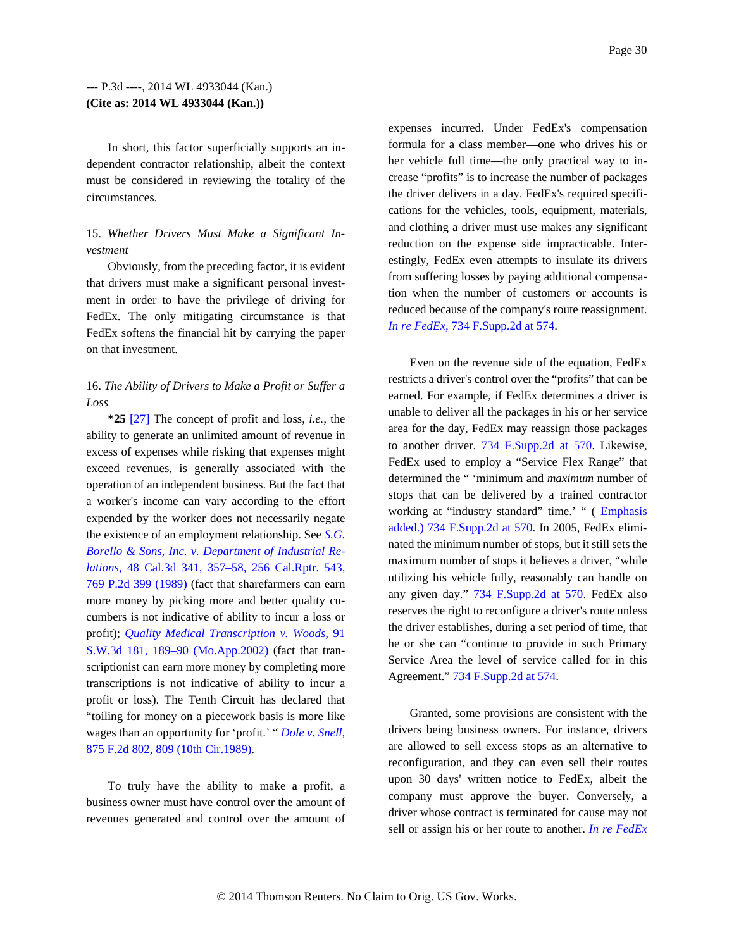In short, this factor superficially supports an independent contractor relationship, albeit the context must be considered in reviewing the totality of the circumstances.

## 15. *Whether Drivers Must Make a Significant Investment*

Obviously, from the preceding factor, it is evident that drivers must make a significant personal investment in order to have the privilege of driving for FedEx. The only mitigating circumstance is that FedEx softens the financial hit by carrying the paper on that investment.

# 16. *The Ability of Drivers to Make a Profit or Suffer a Loss*

**\*25** [27] The concept of profit and loss, *i.e.,* the ability to generate an unlimited amount of revenue in excess of expenses while risking that expenses might exceed revenues, is generally associated with the operation of an independent business. But the fact that a worker's income can vary according to the effort expended by the worker does not necessarily negate the existence of an employment relationship. See *S.G. Borello & Sons, Inc. v. Department of Industrial Relations,* 48 Cal.3d 341, 357–58, 256 Cal.Rptr. 543, 769 P.2d 399 (1989) (fact that sharefarmers can earn more money by picking more and better quality cucumbers is not indicative of ability to incur a loss or profit); *Quality Medical Transcription v. Woods,* 91 S.W.3d 181, 189–90 (Mo.App.2002) (fact that transcriptionist can earn more money by completing more transcriptions is not indicative of ability to incur a profit or loss). The Tenth Circuit has declared that "toiling for money on a piecework basis is more like wages than an opportunity for 'profit.' " *Dole v. Snell,* 875 F.2d 802, 809 (10th Cir.1989).

To truly have the ability to make a profit, a business owner must have control over the amount of revenues generated and control over the amount of expenses incurred. Under FedEx's compensation formula for a class member—one who drives his or her vehicle full time—the only practical way to increase "profits" is to increase the number of packages the driver delivers in a day. FedEx's required specifications for the vehicles, tools, equipment, materials, and clothing a driver must use makes any significant reduction on the expense side impracticable. Interestingly, FedEx even attempts to insulate its drivers from suffering losses by paying additional compensation when the number of customers or accounts is reduced because of the company's route reassignment. *In re FedEx,* 734 F.Supp.2d at 574.

Even on the revenue side of the equation, FedEx restricts a driver's control over the "profits" that can be earned. For example, if FedEx determines a driver is unable to deliver all the packages in his or her service area for the day, FedEx may reassign those packages to another driver. 734 F.Supp.2d at 570. Likewise, FedEx used to employ a "Service Flex Range" that determined the " 'minimum and *maximum* number of stops that can be delivered by a trained contractor working at "industry standard" time.' " ( Emphasis added.) 734 F.Supp.2d at 570. In 2005, FedEx eliminated the minimum number of stops, but it still sets the maximum number of stops it believes a driver, "while utilizing his vehicle fully, reasonably can handle on any given day." 734 F.Supp.2d at 570. FedEx also reserves the right to reconfigure a driver's route unless the driver establishes, during a set period of time, that he or she can "continue to provide in such Primary Service Area the level of service called for in this Agreement." 734 F.Supp.2d at 574.

Granted, some provisions are consistent with the drivers being business owners. For instance, drivers are allowed to sell excess stops as an alternative to reconfiguration, and they can even sell their routes upon 30 days' written notice to FedEx, albeit the company must approve the buyer. Conversely, a driver whose contract is terminated for cause may not sell or assign his or her route to another. *In re FedEx*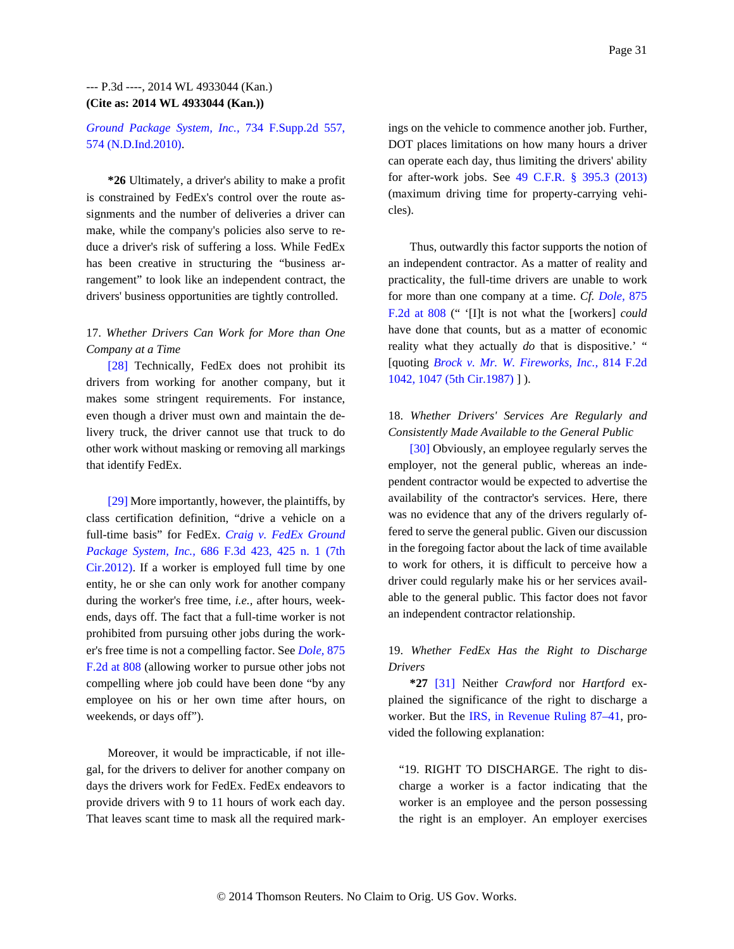### *Ground Package System, Inc.,* 734 F.Supp.2d 557, 574 (N.D.Ind.2010).

**\*26** Ultimately, a driver's ability to make a profit is constrained by FedEx's control over the route assignments and the number of deliveries a driver can make, while the company's policies also serve to reduce a driver's risk of suffering a loss. While FedEx has been creative in structuring the "business arrangement" to look like an independent contract, the drivers' business opportunities are tightly controlled.

## 17. *Whether Drivers Can Work for More than One Company at a Time*

[28] Technically, FedEx does not prohibit its drivers from working for another company, but it makes some stringent requirements. For instance, even though a driver must own and maintain the delivery truck, the driver cannot use that truck to do other work without masking or removing all markings that identify FedEx.

[29] More importantly, however, the plaintiffs, by class certification definition, "drive a vehicle on a full-time basis" for FedEx. *Craig v. FedEx Ground Package System, Inc.,* 686 F.3d 423, 425 n. 1 (7th Cir.2012). If a worker is employed full time by one entity, he or she can only work for another company during the worker's free time, *i.e.,* after hours, weekends, days off. The fact that a full-time worker is not prohibited from pursuing other jobs during the worker's free time is not a compelling factor. See *Dole,* 875 F.2d at 808 (allowing worker to pursue other jobs not compelling where job could have been done "by any employee on his or her own time after hours, on weekends, or days off").

Moreover, it would be impracticable, if not illegal, for the drivers to deliver for another company on days the drivers work for FedEx. FedEx endeavors to provide drivers with 9 to 11 hours of work each day. That leaves scant time to mask all the required mark-

ings on the vehicle to commence another job. Further, DOT places limitations on how many hours a driver can operate each day, thus limiting the drivers' ability for after-work jobs. See 49 C.F.R. § 395.3 (2013) (maximum driving time for property-carrying vehicles).

Thus, outwardly this factor supports the notion of an independent contractor. As a matter of reality and practicality, the full-time drivers are unable to work for more than one company at a time. *Cf. Dole,* 875 F.2d at 808 (" '[I]t is not what the [workers] *could* have done that counts, but as a matter of economic reality what they actually *do* that is dispositive.' " [quoting *Brock v. Mr. W. Fireworks, Inc.,* 814 F.2d 1042, 1047 (5th Cir.1987) ] ).

# 18. *Whether Drivers' Services Are Regularly and Consistently Made Available to the General Public*

[30] Obviously, an employee regularly serves the employer, not the general public, whereas an independent contractor would be expected to advertise the availability of the contractor's services. Here, there was no evidence that any of the drivers regularly offered to serve the general public. Given our discussion in the foregoing factor about the lack of time available to work for others, it is difficult to perceive how a driver could regularly make his or her services available to the general public. This factor does not favor an independent contractor relationship.

# 19. *Whether FedEx Has the Right to Discharge Drivers*

**\*27** [31] Neither *Crawford* nor *Hartford* explained the significance of the right to discharge a worker. But the IRS, in Revenue Ruling 87–41, provided the following explanation:

"19. RIGHT TO DISCHARGE. The right to discharge a worker is a factor indicating that the worker is an employee and the person possessing the right is an employer. An employer exercises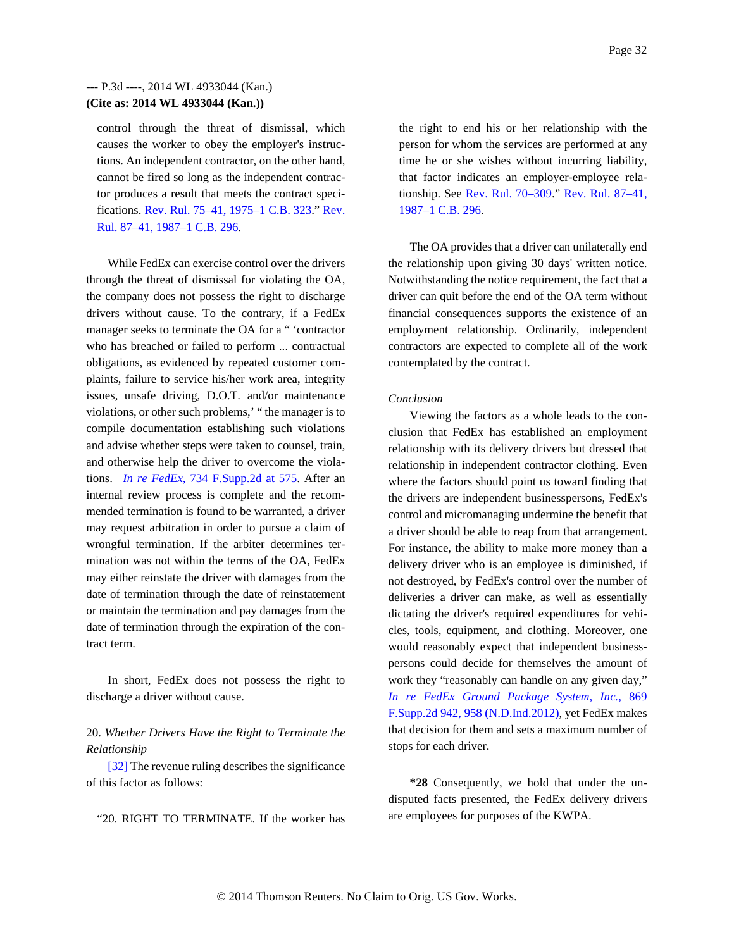control through the threat of dismissal, which causes the worker to obey the employer's instructions. An independent contractor, on the other hand, cannot be fired so long as the independent contractor produces a result that meets the contract specifications. Rev. Rul. 75–41, 1975–1 C.B. 323." Rev. Rul. 87–41, 1987–1 C.B. 296.

While FedEx can exercise control over the drivers through the threat of dismissal for violating the OA, the company does not possess the right to discharge drivers without cause. To the contrary, if a FedEx manager seeks to terminate the OA for a " 'contractor who has breached or failed to perform ... contractual obligations, as evidenced by repeated customer complaints, failure to service his/her work area, integrity issues, unsafe driving, D.O.T. and/or maintenance violations, or other such problems,' " the manager is to compile documentation establishing such violations and advise whether steps were taken to counsel, train, and otherwise help the driver to overcome the violations. *In re FedEx,* 734 F.Supp.2d at 575. After an internal review process is complete and the recommended termination is found to be warranted, a driver may request arbitration in order to pursue a claim of wrongful termination. If the arbiter determines termination was not within the terms of the OA, FedEx may either reinstate the driver with damages from the date of termination through the date of reinstatement or maintain the termination and pay damages from the date of termination through the expiration of the contract term.

In short, FedEx does not possess the right to discharge a driver without cause.

20. *Whether Drivers Have the Right to Terminate the Relationship*

[32] The revenue ruling describes the significance of this factor as follows:

"20. RIGHT TO TERMINATE. If the worker has

the right to end his or her relationship with the person for whom the services are performed at any time he or she wishes without incurring liability, that factor indicates an employer-employee relationship. See Rev. Rul. 70–309." Rev. Rul. 87–41, 1987–1 C.B. 296.

The OA provides that a driver can unilaterally end the relationship upon giving 30 days' written notice. Notwithstanding the notice requirement, the fact that a driver can quit before the end of the OA term without financial consequences supports the existence of an employment relationship. Ordinarily, independent contractors are expected to complete all of the work contemplated by the contract.

#### *Conclusion*

Viewing the factors as a whole leads to the conclusion that FedEx has established an employment relationship with its delivery drivers but dressed that relationship in independent contractor clothing. Even where the factors should point us toward finding that the drivers are independent businesspersons, FedEx's control and micromanaging undermine the benefit that a driver should be able to reap from that arrangement. For instance, the ability to make more money than a delivery driver who is an employee is diminished, if not destroyed, by FedEx's control over the number of deliveries a driver can make, as well as essentially dictating the driver's required expenditures for vehicles, tools, equipment, and clothing. Moreover, one would reasonably expect that independent businesspersons could decide for themselves the amount of work they "reasonably can handle on any given day," *In re FedEx Ground Package System, Inc.,* 869 F.Supp.2d 942, 958 (N.D.Ind.2012), yet FedEx makes that decision for them and sets a maximum number of stops for each driver.

**\*28** Consequently, we hold that under the undisputed facts presented, the FedEx delivery drivers are employees for purposes of the KWPA.